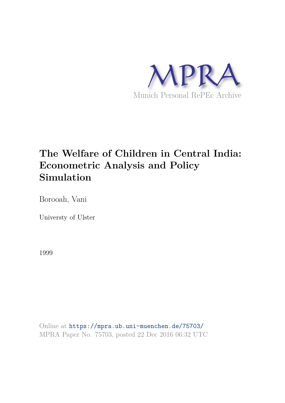

# **The Welfare of Children in Central India: Econometric Analysis and Policy Simulation**

Borooah, Vani

Universty of Ulster

1999

Online at https://mpra.ub.uni-muenchen.de/75703/ MPRA Paper No. 75703, posted 22 Dec 2016 06:32 UTC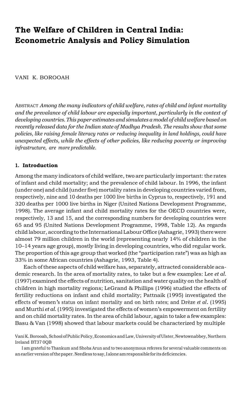# **The Welfare of Children in Central India: Econometric Analysis and Policy Simulation**

VANI K. BOROOAH

ABSTRACT *Among the many indicators of child welfare, rates of child and infant mortality and the prevalance of child labour are especially important, particularly in the context of developing countries. This paper estimates and simulates a model of child welfare based on recently released data for the Indian state of Madhya Pradesh. The results show that some policies, like raising female literacy rates or reducing inequality in land holdings, could have unexpected effects, while the effects of other policies, like reducing poverty or improving infrastructure, are more predictable.* 

#### **1. Introduction**

Among the many indicators of child welfare, two are particularly important: the rates of infant and child mortality; and the prevalence of child labour. In 1996, the infant (under one) and child (under five) mortality rates in developing countries varied from, respectively, nine and 10 deaths per 1000 live births in Cyprus to, respectively, 191 and 320 deaths per 1000 live births in Niger (United Nations Development Programme, 1998). The average infant and child mortality rates for the OECD countries were, respectively, 13 and 15, and the corresponding numbers for developing countries were 65 and 95 (United Nations Development Programme, 1998, Table 12). As regards child labour, according to the International Labour Office (Ashagrie, 1993) there were almost 79 million children in the world (representing nearly 14% of children in the 10–14 years age group), mostly living in developing countries, who did regular work. The proportion of this age group that worked (the "participation rate") was as high as 33% in some African countries (Ashagrie, 1993, Table 4).

Each of these aspects of child welfare has, separately, attracted considerable academic research. In the area of mortality rates, to take but a few examples: Lee *et al.*  (1997) examined the effects of nutrition, sanitation and water quality on the health of children in high mortality regions; LeGrand & Phillips (1996) studied the effects of fertility reductions on infant and child mortality; Pattnaik (1995) investigated the effects of women's status on infant mortality and on birth rates; and Drèze *et al.* (1995) and Murthi *et al.* (1995) investigated the effects of women's empowerment on fertility and on child mortality rates. In the area of child labour, again to take a few examples: Basu & Van (1998) showed that labour markets could be characterized by multiple

Vani K. Borooah, School of Public Policy, Economics and Law, University of Ulster, Newtownabbey, Northern Ireland BT37 0QB

I am grateful to Thankum and Shoba Arun and to two anonymous referees for several valuable comments on an earlier version of the paper. Needless to say, I alone am responsible for its deficiencies.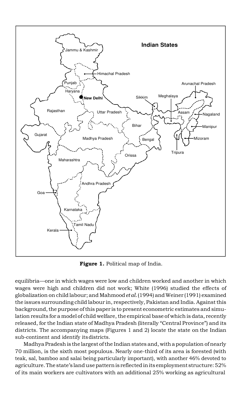

Figure 1. Political map of India.

equilibria—one in which wages were low and children worked and another in which wages were high and children did not work; White (1996) studied the effects of globalization on child labour; and Mahmood *et al.* (1994) and Weiner (1991) examined the issues surrounding child labour in, respectively, Pakistan and India. Against this background, the purpose of this paper is to present econometric estimates and simulation results for a model of child welfare, the empirical base of which is data, recently released, for the Indian state of Madhya Pradesh (literally "Central Province") and its districts. The accompanying maps (Figures 1 and 2) locate the state on the Indian sub-continent and identify its districts.

Madhya Pradesh is the largest of the Indian states and, with a population of nearly 70 million, is the sixth most populous. Nearly one-third of its area is forested (with teak, sal, bamboo and salai being particularly important), with another 46% devoted to agriculture. The state's land use pattern is reflected inits employment structure: 52% of its main workers are cultivators with an additional 25% working as agricultural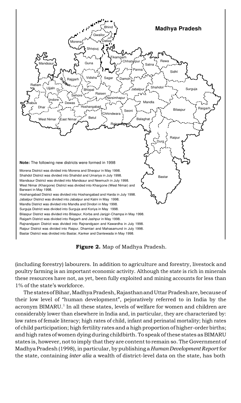

**Figure 2.** Map of Madhya Pradesh.

(including forestry) labourers. In addition to agriculture and forestry, livestock and poultry farming is an important economic activity. Although the state is rich in minerals these resources have not, as yet, been fully exploited and mining accounts for less than 1% of the state's workforce.

The states of Bihar, Madhya Pradesh, Rajasthan and Uttar Pradesh are, because of their low level of "human development", pejoratively referred to in India by the acronym BIMARU.<sup>1</sup> In all these states, levels of welfare for women and children are considerably lower than elsewhere in India and, in particular, they are characterized by: low rates of female literacy; high rates of child, infant and perinatal mortality; high rates of child participation; high fertility rates and a high proportion of higher-order births; and high rates of women dying during childbirth. To speak of these states as BIMARU states is, however, not to imply that they are content to remain so. The Government of Madhya Pradesh (1998), in particular, by publishing a *Human Development Report* for the state, containing *inter alia* a wealth of district-level data on the state, has both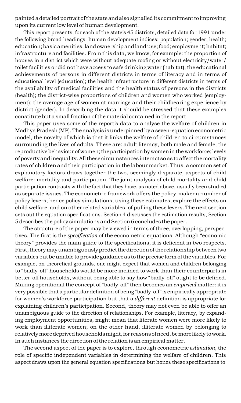painted a detailed portrait of the state and also signalled its commitment to improving upon its current low level of human development.

This report presents, for each of the state's 45 districts, detailed data for 1991 under the following broad headings: human development indices; population; gender; health; education; basic amenities; land ownership and land use; food; employment; habitat; infrastructure and facilities. From this data, we know, for example: the proportion of houses in a district which were without adequate roofing or without electricity/water/ toilet facilities or did not have access to safe drinking water (habitat); the educational achievements of persons in different districts in terms of literacy and in terms of educational level (education); the health infrastructure in different districts in terms of the availability of medical facilities and the health status of persons in the districts (health); the district-wise proportions of children and women who worked (employment); the average age of women at marriage and their childbearing experience by district (gender). In describing the data it should be stressed that these examples constitute but a small fraction of the material contained in the report.

This paper uses some of the report's data to analyse the welfare of children in Madhya Pradesh (MP). The analysis is underpinned by a seven-equation econometric model, the novelty of which is that it links the welfare of children to circumstances surrounding the lives of adults. These are: adult literacy, both male and female; the reproductive behaviour of women; the participation by women in the workforce; levels of poverty and inequality. All these circumstances interact so as to affect the mortality rates of children and their participation in the labour market. Thus, a common set of explanatory factors draws together the two, seemingly disparate, aspects of child welfare: mortality and participation. The joint analysis of child mortality and child participation contrasts with the fact that they have, as noted above, usually been studied as separate issues. The econometric framework offers the policy-maker a number of policy levers; hence policy simulations, using these estimates, explore the effects on child welfare, and on other related variables, of pulling these levers. The next section sets out the equation specifications. Section 4 discusses the estimation results, Section 5 describes the policy simulations and Section 6 concludes the paper.

The structure of the paper may be viewed in terms of three, overlapping, perspectives. The first is the *specification* of the econometric equations. Although "economic theory" provides the main guide to the specifications, it is deficient in two respects. First, theory may unambiguously predict the direction of the relationship between two variables but be unable to provide guidance as to the precise form of the variables. For example, on theoretical grounds, one might expect that women and children belonging to "badly-off" households would be more inclined to work than their counterparts in better-off households, without being able to say how "badly-off" ought to be defined. Making operational the concept of "badly-off" then becomes an *empirical* matter: it is very possible that a particular definition of being "badly-off" is empirically appropriate for women's workforce participation but that a *different* definition is appropriate for explaining children's participation. Second, theory may not even be able to offer an unambiguous guide to the direction of relationships. For example, literacy, by expanding employment opportunities, might mean that literate women were more likely to work than illiterate women; on the other hand, illiterate women by belonging to relatively more deprived households might, for reasons of need, be more likely to work. In such instances the direction of the relation is an empirical matter.

The second aspect of the paper is to explore, through econometric *estimation*, the role of specific independent variables in determining the welfare of children. This aspect draws upon the general equation specifications but hones these specifications to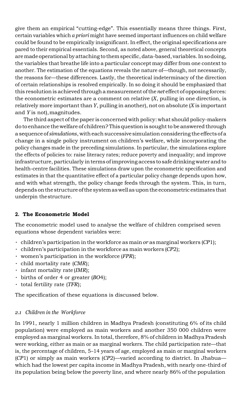give them an empirical "cutting-edge". This essentially means three things. First, certain variables which *a priori* might have seemed important influences on child welfare could be found to be empirically insignificant. In effect, the original specifications are pared to their empirical essentials. Second, as noted above, general theoretical concepts are made operational by attaching to them specific, data-based, variables. Inso doing, the variables that breathe life into a particular concept may differ from one context to another. The estimation of the equations reveals the nature of—though, not necessarily, the reasons for—these differences. Lastly, the theoretical indeterminacy of the direction of certain relationships is resolved empirically. In so doing it should be emphasized that this resolution is achieved through a measurement of the *net* effect of opposing forces: the econometric estimates are a comment on relative (*X*, pulling in one direction, is relatively more important than *Y*, pulling in another), not on absolute (*X* is important and *Y* is not), magnitudes.

The third aspect of the paper is concerned with policy: what should policy-makers do to enhance the welfare of children? This question is sought tobe answered through a sequence of *simulations*, with each successive simulation considering the effects of a change in a single policy instrument on children's welfare, while incorporating the policy changes made in the preceding simulations. In particular, the simulations explore the effects of policies to: raise literacy rates; reduce poverty and inequality; and improve infrastructure, particularly in terms of improving access to safe drinking water and to health-centre facilities. These simulations draw upon the econometric specification and estimates in that the quantitative effect of a particular policy change depends upon how, and with what strength, the policy change feeds through the system. This, in turn, depends on the structure of the system as well as upon the econometric estimates that underpin the structure.

#### **2. The Econometric Model**

The econometric model used to analyse the welfare of children comprised seven equations whose dependent variables were:

- · children's participation in the workforce as main *or* as marginal workers (*CP*1);
- · children's participation in the workforce as main workers (*CP*2);
- · women's participation in the workforce (*FPR*);
- · child mortality rate (*CMR*);
- · infant mortality rate (*IMR*);
- · births of order 4 or greater (*BO*4);
- · total fertility rate (*TFR*);

The specification of these equations is discussed below.

#### *2.1 Children in the Workforce*

In 1991, nearly 1 million children in Madhya Pradesh (constituting 6% of its child population) were employed as main workers and another 350 000 children were employed as marginal workers. In total, therefore, 8% of children in Madhya Pradesh were working, either as main or as marginal workers. The child participation rate—that is, the percentage of children, 5–14 years of age, employed as main or marginal workers (*CP*1) or simply as main workers (*CP*2)—varied according to district. In Jhabua which had the lowest per capita income in Madhya Pradesh, with nearly one-third of its population being below the poverty line, and where nearly 86% of the population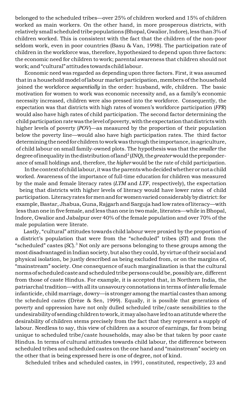belonged to the scheduled tribes—over 25% of children worked and 15% of children worked as main workers. On the other hand, in more prosperous districts, with relatively small scheduled tribe populations (Bhopal, Gwalior, Indore), less than 3% of children worked. This is consistent with the fact that the children of the non-poor seldom work, even in poor countries (Basu & Van, 1998). The participation rate of children in the workforce was, therefore, hypothesized to depend upon three factors: the economic need for children to work; parental awareness that children should not work; and"cultural" attitudes towards child labour.

Economic need was regarded as depending upon three factors. First, it was assumed that in a household model of labour market participation, members of the household joined the workforce *sequentially* in the order: husband, wife, children. The basic motivation for women to work was economic necessity and, as a family's economic necessity increased, children were also pressed into the workforce. Consequently, the expectation was that districts with high rates of women's workforce participation (*FPR*) would also have high rates of child participation. The second factor determining the child participation rate was the level of poverty, with the expectation that districts with higher levels of poverty (*POV*)—as measured by the proportion of their population below the poverty line—would also have high participation rates. The third factor determining the need for children to work was through the importance, in agriculture, of child labour on small family-owned plots. The hypothesis was that the *smaller* the degree of inequality in the distribution of land2 (*INQ*), the *greater* would the preponderance of small holdings and, therefore, the *higher* would be the rate of child participation.

In the context of child labour, it was the parents who decided whether or not a child worked. Awareness of the importance of full-time education for children was measured by the male and female literacy rates (*LTM* and *LTF*, respectively), the expectation

being that districts with higher levels of literacy would have lower rates of child participation. Literacy rates for men and for women varied considerably by district: for example, Bastar, Jhabua, Guna, Rajgarh and Sarguja had low rates of literacy—with less than one in five female, and less than one in two male, literates—while in Bhopal, Indore, Gwalior and Jabalpur over 40% of the female population and over 70% of the male population were literate.

Lastly, "cultural" attitudes towards child labour were proxied by the proportion of a district's population that were from the "scheduled" tribes (*ST*) and from the "scheduled" castes  $(*SC*)$ <sup>3</sup> Not only are persons belonging to these groups among the most disadvantaged in Indian society, but also they could, by virtue of their social and physical isolation, be justly described as being excluded from, or on the margins of, "mainstream" society. One consequence of such marginalization is that the cultural norms of scheduled caste and scheduled tribe persons could be, possibly are, different from those of caste Hindus. For example, it is accepted that, in Northern India, the patriarchal tradition—with all its unsavoury connotations in terms of *inter alia* female infanticide, child marriage, dowry—is stronger among the martial castes than among the scheduled castes (Drèze & Sen, 1999). Equally, it is possible that generations of poverty and oppression have not only dulled scheduled tribe/caste sensibilities to the undesirability of sending children to work, itmay also have led toan atitutde where the desirability of children stems precisely from the fact that they represent a supply of labour. Needless to say, this view of children as a source of earnings, far from being unique to scheduled tribe/caste households, may also be that taken by poor caste Hindus. In terms of cultural attitudes towards child labour, the difference between scheduled tribes and scheduled castes on the one hand and "mainstream" society on the other that is being expressed here is one of degree, not of kind.

Scheduled tribes and scheduled castes, in 1991, constituted, respectively, 23 and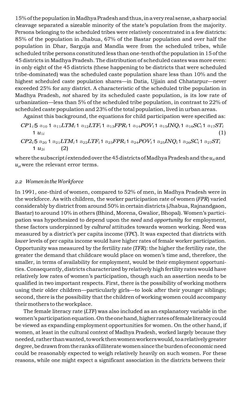15%of the population in Madhya Pradesh and thus, in a very real sense, a sharp social cleavage separated a sizeable minority of the state's population from the majority. Persons belonging to the scheduled tribes were relatively concentrated in a few districts: 85% of the population in Jhabua, 67% of the Bastar population and over half the population in Dhar, Sarguja and Mandla were from the scheduled tribes, while scheduled tribe persons constituted less than one-tenth of the population in 15 of the 45 districts in Madhya Pradesh. The distribution of scheduled castes was more even: in only eight of the 45 districts (these happening to be districts that were scheduled tribe-dominated) was the scheduled caste population share less than 10% and the highest scheduled caste population shares—in Datia, Ujjain and Chhatarpur—never exceeded 25% for any district. A characteristic of the scheduled tribe population in Madhya Pradesh, *not* shared by its scheduled caste population, is its low rate of urbanization—less than 5% of the scheduled tribe population, in contrast to 22% of scheduled caste population and 23% of the total population, lived in urban areas.

Against this background, the equations for child participation were specified as:

- $CP1_i 5 a_{10} 1 a_{11} LTM_i 1 a_{12} LTF_i 1 a_{13} FPR_i 1 a_{14} POV_i 1 a_{15} INQ_i 1 a_{16} SC_i 1 a_{17} ST_i$  $1 u_{1i}$  (1)
- $CP2_i$ 5  $a_{20}$  1  $a_{21}LTM_i$  1  $a_{22}LTF_i$  1  $a_{23}FPR_i$  1  $a_{24}POV_i$  1  $a_{25}INQ_i$  1  $a_{26}SC_i$  1  $a_{27}ST_i$ 1  $u_{2i}$  (2)

where the subscript *i* extended over the 45 districts of Madhya Pradesh and the *u1i*and  $u_{2i}$  were the relevant error terms.

#### *2.2 Women in the Workforce*

In 1991, one-third of women, compared to 52% of men, in Madhya Pradesh were in the workforce. As with children, the worker participation rate of women (*FPR*) varied considerably by district from around 50% in certain districts (Jhabua, Rajnandgaon, Bastar) to around 10% in others (Bhind, Morena, Gwalior, Bhopal). Women's participation was hypothesized to depend upon the *need* and *opportunity* for employment, these factors underpinned by *cultural* attitudes towards women working. Need was measured by a district's per capita income (*YPC*). It was expected that districts with *lower* levels of per capita income would have higher rates of female worker participation. Opportunity was measured by the fertility rate (*TFR*): the higher the fertility rate, the greater the demand that childcare would place on women's time and, therefore, the smaller, in terms of availability for employment, would be their employment opportunities. Consequently, districts characterized by relatively high fertility rates would have relatively low rates of women's participation, though such an assertion needs to be qualified in two important respects. First, there is the possibility of working mothers using their older children—particularly girls—to look after their younger siblings; second, there is the possibility that the children of working women could accompany their mothers to the workplace.

The female literacy rate (*LTF*) was also included as an explanatory variable in the women's participation equation. On the one hand, higher rates of female literacy could be viewed as expanding employment opportunities for women. On the other hand, if women, at least in the cultural context of Madhya Pradesh, worked largely because they needed, rather than wanted, to work then women workers would, to a relatively greater degree, be drawn from the ranks of illiterate women since the burden of economic need could be reasonably expected to weigh relatively heavily on such women. For these reasons, while one might expect a significant association in the districts between their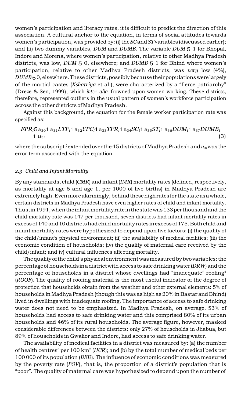women's participation and literacy rates, it is difficult to predict the direction of this association. A cultural anchor to the equation, in terms of social attitudes towards women's participation, was provided by:(i) the *SC*and*ST*variables (discussed earlier); and (ii) two dummy variables, *DUM* and *DUMB*. The variable *DUM* 5 1 for Bhopal, Indore and Morena, where women's participation, relative to other Madhya Pradesh districts, was low, *DUM* 5 0, elsewhere; and *DUMB* 5 1 for Bhind where women's participation, relative to other Madhya Pradesh districts, was *very* low (4%), *DUMB* 5 0, elsewhere. These districts, possibly because their populations were largely of the martial castes (*Kshatriya* et al.), were characterized by a "fierce patriarchy" (Dre`ze & Sen, 1999), which *inter alia* frowned upon women working. These districts, therefore, represented outliers in the usual pattern of women's workforce participation across the other districts of Madhya Pradesh.

Against this background, the equation for the female worker participation rate was specified as:

$$
FPR_i5a_{30}1a_{31}LTF_i1a_{32}YPC_i1a_{33}TFR_i1a_{34}SC_i1a_{35}ST_i1a_{36}DUM_i1a_{37}DUMB_i
$$
  
1  $u_{3i}$  (3)

where the subscript *i* extended over the 45 districts of Madhya Pradesh and  $u_{3i}$  was the error term associated with the equation.

#### *2.3 Child and Infant Mortality*

By any standards, child (*CMR*) and infant (*IMR*) mortality rates (defined, respectively, as mortality at age 5 and age 1, per 1000 of live births) in Madhya Pradesh are extremely high. Even more alarmingly, behind these high rates for the state as a whole, certain districts in Madhya Pradesh have even higher rates of child and infant mortality. Thus, in 1991, when the infant mortality rate in the state was 133 per thousand and the child mortality rate was 147 per thousand, seven districts had infant mortality rates in excess of 140 and 10 districts had child mortality rates in excess of 175. Both child and infant mortality rates were hypothesized to depend upon five factors: (i) the quality of the child/infant's physical environment; (ii) the availability of medical facilities; (iii) the economic condition of households; (iv) the quality of maternal care received by the child/infant; and (v) cultural influences affecting mortality.

The quality of the child's physical environment was measured by two variables: the percentage of households in a district with access to safe drinking water (*DRW*) and the percentage of households in a district whose dwellings had "inadequate" roofing<sup>4</sup> (*ROOF*). The quality of roofing material is the most useful indicator of the degree of protection that households obtain from the weather and other external elements: 5% of households in Madhya Pradesh (though this was as high as20% in Bastar and Bhind) lived in dwellings with inadequate roofing. The importance of access to safe drinking water does not need to be emphasized. In Madhya Pradesh, on average, 53% of households had access to safe drinking water and this comprised 80% of its urban households and 46% of its rural households. The average figure, however, masked considerable differences between the districts: only 27% of households in Jhabua, but 89% of households in Gwalior and Indore, had access to safe drinking water.

The availability of medical facilities in a district was measured by: (a) the number of health centres<sup>5</sup>per 100 km<sup>2</sup>(*HCR*); and (b) by the total number of medical beds per 100 000 of its population (*BED*). The influence of economic conditions was measured by the poverty rate (*POV*), that is, the proportion of a district's population that is "poor". The quality of maternal care was hypothesized to depend upon the number of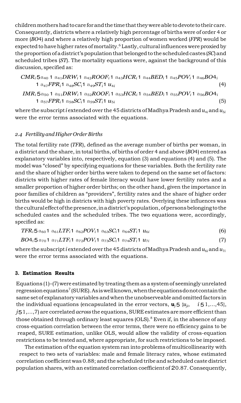children mothers had to care for and the time that they were able to devote to their care. Consequently, districts where a relatively high percentage of births were of order 4 or more (*BO*4) and where a relatively high proportion of women worked (*FPR*) would be expected to have higher rates of mortality.<sup>6</sup> Lastly, cultural influences were proxied by the proportion of a district's population that belonged to the scheduled castes (*SC*) and scheduled tribes (*ST*). The mortality equations were, against the background of this discussion, specified as:

$$
CMR_i 5a_{40} 1 a_{41} DRW_i 1 a_{42} ROOF_i 1 a_{43} HCR_i 1 a_{44} BED_i 1 a_{45} POV_i 1 a_{46} BO4_i
$$
  
1 a\_{47} FPR\_i 1 a\_{48} SC\_i 1 a\_{49} ST\_i 1 u\_{4i} (4)

$$
IMR_i5a_{50}1a_{51}DRW_i1a_{52}ROOF_i1a_{53}HCR_i1a_{54}BED_i1a_{55}POV_i1a_{56}BO4_i
$$
  
1a\_{57}FPR\_i1a\_{58}SC\_i1a\_{59}ST\_i1u\_{5i} (5)

where the subscript *i* extended over the 45 districts of Madhya Pradesh and  $u_{4i}$  and  $u_{5i}$ were the error terms associated with the equations.

#### *2.4 Fertility and Higher Order Births*

The total fertility rate (*TFR*), defined as the average number of births per woman, in a district and the share, in total births, of births of order 4 and above (*BO*4) entered as explanatory variables into, respectively, equation (3) and equations (4) and (5). The model was "closed" by specifying equations for these variables. Both the fertility rate and the share of higher order births were taken to depend on the same set of factors: districts with higher rates of female literacy would have lower fertility rates and a smaller proportion of higher order births; on the other hand, given the importance in poor families of children as "providers", fertility rates and the share of higher order births would be high in districts with high poverty rates. Overlying these influences was the cultural effect of the presence, in a district's population, of persons belonging to the scheduled castes and the scheduled tribes. The two equations were, accordingly, specified as:

$$
TFR_i 5 a_{60} 1 a_{61} LTF_i 1 a_{62} POV_i 1 a_{63} SC_i 1 a_{64} ST_i 1 u_{6i}
$$
 (6)

$$
BO4_{i}5a_{70}1a_{71}LTF_{i}1a_{72}POV_{i}1a_{73}SC_{i}1a_{74}ST_{i}1u_{7i}
$$
\n(7)

where the subscript *i* extended over the 45 districts of Madhya Pradesh and  $u<sub>6i</sub>$  and  $u<sub>7i</sub>$ were the error terms associated with the equations.

### **3. Estimation Results**

Equations (1)–(7) were estimated by treating them as a system of seemingly unrelated regression equations<sup>7</sup>(SURE). As is well known, when the equations do not contain the same set of explanatory variables and when the unobserveable and omitted factors in the individual equations (encapsulated in the error vectors,  $\mathbf{u}_i$ , 5  $\{u_i, i, 5, 1, \ldots, 45\}$ , *j* 5 1,…,7) are correlated *across* the equations, SURE estimates are more efficient than those obtained through ordinary least squares  $(OLS)$ .<sup>8</sup> Even if, in the absence of any cross-equation correlation between the error terms, there were no efficiency gains to be reaped, SURE estimation, unlike OLS, would allow the validity of cross-equation restrictions to be tested and, where appropriate, for such restrictions to be imposed.

The estimation of the equation system ran into problems of multicollinearity with respect to two sets of variables: male and female literacy rates, whose estimated correlation coefficient was 0.88; and the scheduled tribe and scheduled caste district population shares, with an estimated correlation coefficient of 2 0.87. Consequently,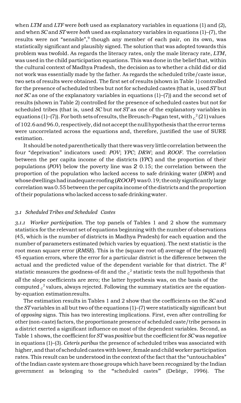when *LTM* and *LTF* were *both* used as explanatory variables in equations (1) and (2), and when *SC* and *ST* were *both* used as explanatory variables in equations (1)–(7), the results were not "sensible",<sup>9</sup> though any member of each pair, on its own, was statistically significant and plausibly signed. The solution that was adopted towards this problem was twofold. As regards the literacy rates, only the male literacy rate, *LTM*, was used in the child participation equations. This was done in the belief that, within the cultural context of Madhya Pradesh, the decision as to whether a child did or did not work was essentially made by the father. As regards the scheduled tribe/caste issue, two sets of results were obtained. The first set of results (shown in Table 1) controlled for the presence of scheduled tribes but not for scheduled castes (that is, used *ST* but *not SC* as one of the explanatory variables in equations (1)–(7)) and the second set of results (shown in Table 2) controlled for the presence of scheduled castes but not for scheduled tribes (that is, used *SC* but *not ST* as one of the explanatory variables in equations (1)–(7)). For both sets of results, the Breusch–Pagan test, with  $_{\rm c}^{-2}$  (21) values of 102.6 and 96.0, respectively, did not accept the null hypothesis that the error terms were uncorrelated across the equations and, therefore, justified the use of SURE estimation.

It should be noted parenthetically that there was very little correlation between the four "deprivation" indicators used: *POV*; *YPC*; *DRW*; and *ROOF*. The correlation between the per capita income of the districts (*YPC*) and the proportion of their populations (*POV*) below the poverty line was 2 0.15; the correlation between the proportion of the population who lacked access to safe drinking water (*DRW*) and whose dwellings had inadequate roofing (*ROOF*) was 0.19; the only significantly large correlation was 0.55 between the per capita income of the districts and the proportion of their populations who lacked access to safe drinking water.

#### *3.1 Scheduled Tribes and Scheduled Castes*

*3.1.1 Worker participation.* The top panels of Tables 1 and 2 show the summary statistics for the relevant set of equations beginning with the number of observations (45, which is the number of districts in Madhya Pradesh) for each equation and the number of parameters estimated (which varies by equation). The next statistic is the root mean square error (*RMSE*). This is the (square root of) average of the (squared) 45 equation errors, where the error for a particular district is the difference between the actual and the predicted value of the dependent variable for that district. The  $R^2$ statistic measures the goodness-of-fit and the  $c^2$  statistic tests the null hypothesis that *all* the slope coefficients are zero; the latter hypothesis was, on the basis of the computed  $c^2$  values, always rejected. Following the summary statistics are the equationby-equation estimation results.

The estimation results in Tables 1 and 2 show that the coefficients on the *SC* and the *ST* variables in all but two of the equations (1)–(7) were statistically significant but of *opposing* signs. This has two interesting implications. First, even after controlling for other (non-caste) factors, the proportionate presence of scheduled caste/tribe persons in a district exerted a significant influence on most of the dependent variables. Second, as Table 1 shows, the coefficient for *ST* was *positive* but the coefficient for *SC* was *negative*  in equations (1)–(3). *Ceteris paribus* the presence of scheduled tribes was associated with higher, and that of scheduled castes with lower, female and child worker participation rates. This result can be understood in the context of the fact that the "untouchables" of the Indian caste system are those groups which have been recognized by the Indian government as belonging to the "scheduled castes" (Deliège, 1996). The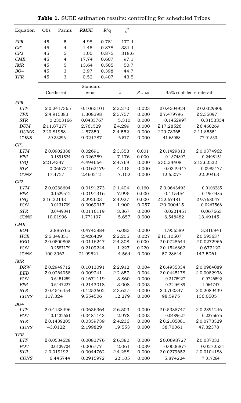| Equation                 | Obs        | Parms          | RMSE      | $R^2q$ | $\mathrm{c}^2$  |                  |                        |                           |
|--------------------------|------------|----------------|-----------|--------|-----------------|------------------|------------------------|---------------------------|
| <b>FPR</b>               | 45         | 5              | 4.98      | 0.781  | 172.1           |                  |                        |                           |
| CP1                      | 45         | 4              | 1.45      | 0.878  | 331.1           |                  |                        |                           |
| CP2                      | 45         | 5              | 1.00      | 0.875  | 318.6           |                  |                        |                           |
| CMR                      | 45         | $\overline{4}$ | 17.74     | 0.607  | 97.1            |                  |                        |                           |
| <b>IMR</b>               | 45         | 5              | 13.64     | 0.505  | 50.7            |                  |                        |                           |
| BO4                      | 45         | 3              | 3.97      | 0.398  | 44.7            |                  |                        |                           |
| <b>TFR</b>               | 45         | 3              | 0.52      | 0.407  | 43.5            |                  |                        |                           |
|                          |            |                | Standard  |        |                 |                  |                        |                           |
|                          |            | Coefficient    | error     |        | Z               | $P = \mathbb{Z}$ |                        | [95% confidence interval] |
| <b>FPR</b>               |            |                |           |        |                 |                  |                        |                           |
| LTF                      |            | 20.2417365     | 0.1065101 |        | 2 2.270         | 0.023            | 20.4504924             | 20.0329806                |
| <b>TFR</b>               |            | 24.915383      | 1.308398  |        | 2 3.757         | 0.000            | 27.479796              | 2 2.35097                 |
| STR                      |            | 0.2303166      | 0.0433767 |        | 5.310           | 0.000            | 0.1452997              | 0.3153334                 |
| DUM                      |            | 211.87277      | 2.761529  |        | 24.299          | 0.000            | 217.28526              | 26.460269                 |
| <b>DUMB</b>              | 2 20.81958 |                | 4.57359   |        | 24.552          | 0.000            | 2 29.78365             | 2 11.85551                |
| <b>CONS</b>              |            | 59.33296       | 9.021787  |        | 6.577           | 0.000            | 41.65058               | 77.01533                  |
| CP1                      |            |                |           |        |                 |                  |                        |                           |
| LTM                      |            | 20.0902388     | 0.02691   |        | 2 3.353         | 0.001            | 20.1429813             | 20.0374962                |
| <b>FPR</b>               |            | 0.1891524      | 0.026359  |        | 7.176           | 0.000            | 0.1374897              | 0.2408151                 |
| <b>INQ</b>               | 221.4347   |                | 4.494664  |        | 24.769          | 0.000            | 230.24408              | 2 12.62532                |
| <b>STR</b>               |            | 0.0667312      | 0.0162179 |        | 4.115           | 0.000            | 0.0349447              | 0.0985177                 |
| <b>CONS</b>              |            | 17.4727        | 2.460212  |        | 7.102           | 0.000            | 12.65077               | 22.29463                  |
| CP2                      |            |                |           |        |                 |                  |                        |                           |
| <b>LTM</b>               |            | 20.0268604     | 0.0191273 |        | 2 1.404         | 0.160            | 20.0643493             | 0.0106285                 |
| <b>FPR</b>               |            | 0.1529512      | 0.0191316 |        | 7.995           | 0.000            | 0.115454               | 0.1904485                 |
| <b>INQ</b>               | 2 16.22143 |                | 3.292603  |        | 24.927          | 0.000            | 2 22.67481             | 29.768047                 |
| POV                      |            | 0.0131709      | 0.0069317 |        | 1.900           | 0.057            | 20.000415              | 0.0267568                 |
| <b>STR</b>               |            | 0.0449041      | 0.0116119 |        | 3.867           | 0.000            | 0.0221451              | 0.067663                  |
| CONS                     |            | 10.01996       | 1.771197  |        | 5.657           | 0.000            | 6.548482               | 13.49145                  |
| CMR                      |            |                |           |        |                 |                  |                        |                           |
| BO4                      |            | 2.886765       | 0.4745884 |        | 6.083           | 0.000            | 1.956589               | 3.816941                  |
| <b>HCR</b>               |            | 25.349351      | 2.426429  |        | 2 2.205         | 0.027            | 210.10507              | 20.593637                 |
| BED                      |            | 20.0500805     | 0.0116247 |        | 24.308          | 0.000            | 20.0728644             | 20.0272966                |
| POV                      |            | 0.2587179      | 0.2109244 |        | 1.227           | 0.220            | 20.1546862             | 0.672122                  |
| <b>CONS</b>              |            | 100.3963       | 21.99521  |        | 4.564           | 0.000            | 57.28644               | 143.5061                  |
| <b>IMR</b>               |            |                |           |        |                 |                  |                        |                           |
| DRW                      |            | 20.2949712     | 0.1013091 |        | 2 2.912         | 0.004            | 20.4935334             | 20.0964089                |
| BED                      |            | 20.0264058     | 0.009241  |        | 2 2.857         | 0.004            | 20.0445178             | 20.0082938                |
| POV                      |            | 0.6451259      | 0.1671119 |        | 3.860           | 0.000            | 0.3175927              | 0.9726592                 |
| FPR                      |            | 0.6447227      | 0.2143018 |        | 3.008           | 0.003            | 0.2246989              | 1.064747                  |
| STR                      |            | 20.4546454     | 0.1253602 |        | 2 3.627         | 0.000            | 20.700347              | 20.2089439                |
| CONS                     | 117.324    |                | 9.554506  |        | 12.279          | 0.000            | 98.5975                | 136.0505                  |
|                          |            |                |           |        |                 |                  |                        |                           |
| BO4<br><b>LTF</b>        |            |                |           |        |                 |                  |                        |                           |
|                          |            | 20.4138496     | 0.0636364 |        | 26.503<br>2.978 | 0.000            | 20.5385747             | 20.2891246                |
| POV                      |            | 0.1432651      | 0.0481143 |        |                 | 0.003            | 0.0489627              | 0.2375675                 |
| STR                      |            | 20.1439205     | 0.0339739 |        | 24.236          | 0.000            | 20.2105081<br>38.70061 | 20.0773329                |
| CONS                     |            | 43.0122        | 2.199829  |        | 19.553          | 0.000            |                        | 47.32378                  |
| <b>TFR</b>               |            |                |           |        |                 |                  |                        |                           |
| <b>LTF</b>               |            | 20.0534528     | 0.0083776 |        | 26.380          | 0.000            | 20.0698727             | 20.037033                 |
| POV                      |            | 0.0139704      | 0.006777  |        | 2.061           | 0.039            | 0.0006877              | 0.0272531                 |
| <b>STR</b>               |            | 20.019192      | 0.0044762 |        | 24.288          | 0.000            | 20.0279652             | 20.0104188                |
| $\mathop{\mathit{CONS}}$ |            | 6.445744       | 0.2915972 |        | 22.105          | 0.000            | 5.874224               | 7.017264                  |

**Table 1.** SURE estimation results: controlling for scheduled Tribes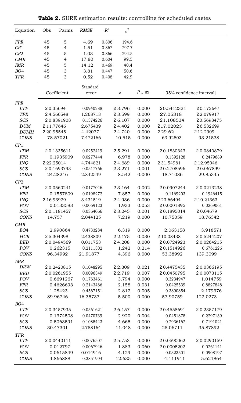| Equation          | Obs        | Parms          | <b>RMSE</b> | $R^2$ | $\mathrm{c}^2$ |                  |            |                           |
|-------------------|------------|----------------|-------------|-------|----------------|------------------|------------|---------------------------|
| <b>FPR</b>        | 45         | 5              | 4.69        | 0.806 | 194.6          |                  |            |                           |
| CP1               | 45         | $\overline{4}$ | 1.51        | 0.867 | 297.7          |                  |            |                           |
| CP2               | 45         | 5              | 1.03        | 0.866 | 294.5          |                  |            |                           |
| CMR               | 45         | $\overline{4}$ | 17.80       | 0.604 | 99.5           |                  |            |                           |
| <b>IMR</b>        | 45         | $\mathbf 5$    | 14.12       | 0.469 | 40.4           |                  |            |                           |
| BO4               | 45         | 3              | 3.81        | 0.447 | 50.6           |                  |            |                           |
| TFR               | 45         | 3              | 0.52        | 0.408 | 42.9           |                  |            |                           |
|                   |            |                | Standard    |       |                |                  |            |                           |
|                   |            | Coefficient    | error       |       | z              | $P = \mathbb{Z}$ |            | [95% confidence interval] |
| <b>FPR</b>        |            |                |             |       |                |                  |            |                           |
| LTF               |            | 20.35694       | 0.0940288   |       | 2 3.796        | 0.000            | 20.5412331 | 20.172647                 |
| TFR               |            | 24.566548      | 1.268713    |       | 2 3.599        | 0.000            | 27.05318   | 22.079917                 |
| SCS               |            | 20.8391908     | 0.1374226   |       | 26.107         | 0.000            | 21.108534  | 20.5698475                |
| <b>DUM</b>        | 2 11.77646 |                | 2.675439    |       | 24.402         | 0.000            | 217.02023  | 26.532699                 |
| <i>DUMH</i>       | 2 20.95545 |                | 4.42077     |       | 24.740         | 0.000            | 229.62     | 212.2909                  |
| <b>CONS</b>       |            | 78.57021       | 7.472166    |       | 10.515         | 0.000            | 63.92503   | 93.21538                  |
| CP1               |            |                |             |       |                |                  |            |                           |
| 1TM               |            | 20.1335611     | 0.0252419   |       | 2 5.291        | 0.000            | 20.1830343 | 20.0840879                |
| <b>FPR</b>        |            | 0.1935909      | 0.0277444   |       | 6.978          | 0.000            | 0.1392128  | 0.2479689                 |
| <b>INO</b>        | 2 22 25014 |                | 4.744821    |       | 24.689         | 0.000            | 231.54981  | 2 12.95046                |
| SCS               |            | 20.1693793     | 0.0517766   |       | 2 3.271        | 0.001            | 20.2708596 | 20.067899                 |
| <b>CONS</b>       |            | 24.28216       | 2.842549    |       | 8.542          | 0.000            | 18.71086   | 29.85345                  |
| CP2               |            |                |             |       |                |                  |            |                           |
| 1TM               |            | 20.0560241     | 0.0177046   |       | 2 3.164        | 0.002            | 20.0907244 | 20.0213238                |
| <b>FPR</b>        |            | 0.1557809      | 0.0198272   |       | 7.857          | 0.000            | 0.1169203  | 0.1946415                 |
| <b>INQ</b>        | 2 16.93929 |                | 3.431519    |       | 24.936         | 0.000            | 2 23.66494 | 2 10.21363                |
| POV               |            | 0.0133583      | 0.0069123   |       | 1.933          | 0.053            | 20.0001895 | 0.0269061                 |
| SCS               |            | 20.1181457     | 0.0364066   |       | 2 3.245        | 0.001            | 20.1895014 | 20.04679                  |
| <b>CONS</b>       |            | 14.757         | 2.044125    |       | 7.219          | 0.000            | 10.75059   | 18.76342                  |
| CMR               |            |                |             |       |                |                  |            |                           |
| BO4               |            | 2.990864       | 0.4733284   |       | 6.319          | 0.000            | 2.063158   | 3.918571                  |
| HCR               |            | 25.304398      | 2.438809    |       | 2 2.175        | 0.030            | 2 10.08438 | 20.5244207                |
| <b>BED</b>        |            | 20.0494569     | 0.011753    |       | 24.208         | 0.000            | 20.0724923 | 20.0264215                |
| POV               |            | 0.262315       | 0.2111302   |       | 1.242          | 0.214            | 20.1514926 | 0.6761226                 |
| <b>CONS</b>       |            | 96.34992       | 21.91877    |       | 4.396          | 0.000            | 53.38992   | 139.3099                  |
| <b>IMR</b>        |            |                |             |       |                |                  |            |                           |
| DRW               |            | 20.2420815     | 0.1048295   |       | 2 2.309        | 0.021            | 20.4475435 | 20.0366195                |
| <b>BED</b>        |            | 20.0261955     | 0.0096349   |       | 2 2.719        | 0.007            | 20.0450795 | 20.0073115                |
| <b>POV</b>        |            | 0.6691267      | 0.1763461   |       | 3.794          | 0.000            | 0.3234947  | 1.014759                  |
| <b>FPR</b>        |            | 0.4626693      | 0.2143486   |       | 2.158          | 0.031            | 0.0425539  | 0.8827848                 |
| SCS               |            | 1.28423        | 0.4567151   |       | 2.812          | 0.005            | 0.3890854  | 2.179376                  |
| <b>CONS</b>       |            | 89.96746       | 16.35737    |       | 5.500          | 0.000            | 57.90759   | 122.0273                  |
|                   |            |                |             |       |                |                  |            |                           |
| <b>BO4</b><br>LTF |            | 20.3457935     | 0.0561621   |       | 26.157         | 0.000            | 20.4558691 | 20.2357179                |
| POV               |            | 0.1374508      | 0.0470739   |       | 2.920          | 0.004            | 0.0451878  | 0.2297139                 |
| <b>SCS</b>        |            | 0.5063591      | 0.1085443   |       | 4.665          | 0.000            | 0.2936162  | 0.7191021                 |
| CONS              |            | 30.47301       | 2.758164    |       | 11.048         | 0.000            | 25.06711   | 35.87892                  |
|                   |            |                |             |       |                |                  |            |                           |
| <b>TFR</b>        |            |                |             |       |                |                  |            |                           |
| LTF               |            | 20.0440111     | 0.0076507   |       | 25.753         | 0.000            | 20.0590062 | 20.0290159                |
| POV               |            | 0.012797       | 0.0067946   |       | 1.883          | 0.060            | 20.0005202 | 0.0261141                 |
| SCS               |            | 0.0615849      | 0.014916    |       | 4.129          | 0.000            | 0.0323501  | 0.0908197                 |
| CONS              |            | 4.866888       | 0.3851994   |       | 12.635         | 0.000            | 4.111911   | 5.621864                  |

**Table 2.** SURE estimation results: controlling for scheduled castes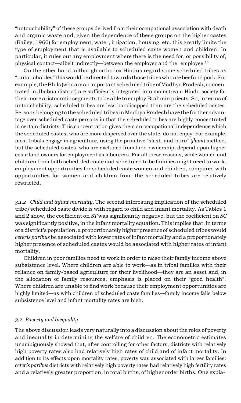"untouchability" of these groups derived from their occupational association with death and organic waste and, given the dependence of these groups on the higher castes (Bailey, 1960) for employment, water, irrigation, housing, etc. this greatly limits the type of employment that is available to scheduled caste women and children. In particular, it rules out any employment where there is the need for, or possibility of, physical contact—albeit indirectly—between the employer and the employee.<sup>10</sup>

On the other hand, although orthodox Hindus regard some scheduled tribes as "untouchables" this would be directed towards those tribes who ate beef and pork. For example, the Bhils (who are an important scheduled tribe of Madhya Pradesh, concentrated in Jhabua district) are sufficiently integrated into mainstream Hindu society for their more aristocratic segments to be able to employ Brahmin priests. So, in terms of untouchability, scheduled tribes are less handicapped than are the scheduled castes. Persons belonging to the scheduled tribes in Madhya Pradesh have the further advantage over scheduled caste persons in that the scheduled tribes are highly concentrated in certain districts. This concentration gives them an occupational independence which the scheduled castes, who are more dispersed over the state, do not enjoy. For example, most tribals engage in agriculture, using the primitive "slash-and-burn" (*jhum*) method, but the scheduled castes, who are excluded from land-ownership, depend upon higher caste land owners for employment as labourers. For all these reasons, while women and children from both scheduled caste and scheduled tribe families might need to work, employment opportunities for scheduled caste women and children, compared with opportunities for women and children from the scheduled tribes are relatively restricted.

*3.1.2 Child and infant mortality.* The second interesting implication of the scheduled tribe/scheduled caste divide is with regard to child and infant mortality. As Tables 1 and 2 show, the coefficient on *ST* was significantly negative, but the coefficient on *SC*  was significantly positive, in the infant mortality equation. This implies that, in terms of a district's population, a proportionately higher presence of scheduled tribes would *ceteris paribus* be associated with lower rates of infant mortality and a proportionately higher presence of scheduled castes would be associated with higher rates of infant mortality.

Children in poor families need to work in order to raise their family income above subsistence level. Where children are able to work—as in tribal families with their reliance on family-based agriculture for their livelihood—they are an asset and, in the allocation of family resources, emphasis is placed on their "good health". Where children are unable to find work because their employment opportunities are highly limited—as with children of scheduled caste families—family income falls below subsistence level and infant mortality rates are high.

### *3.2 Poverty and Inequality*

The above discussion leads very naturally into a discussion about the roles of poverty and inequality in determining the welfare of children. The econometric estimates unambiguously showed that, after controlling for other factors, districts with relatively high poverty rates also had relatively high rates of child and of infant mortality. In addition to its effects upon mortality rates, poverty was associated with larger families: *ceteris paribus* districts with relatively high poverty rates had relatively high fertility rates and a relatively greater proportion, in total births, of higher order births. One expla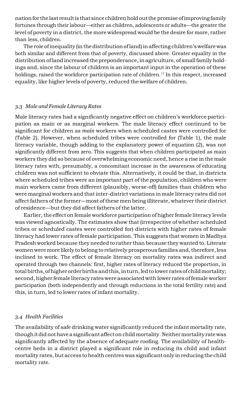nation for the last result is that since children hold out the promise of improving family fortunes through their labour—either as children, adolescents or adults—the greater the level of poverty in a district, the more widespread would be the desire for more, rather than less, children.

The role of inequality (in the distribution of land) in affecting children's welfare was both similar and different from that of poverty, discussed above. Greater equality in the distribution of land increased the preponderance, in agriculture, of small family holdings and, since the labour of children is an important input in the operation of these holdings, raised the workforce participation rate of children.<sup>11</sup> In this respect, increased equality, like higher levels of poverty, reduced the welfare of children.

#### *3.3 Male and Female Literacy Rates*

Male literacy rates had a significantly negative effect on children's workforce participation as main or as marginal workers. The male literacy effect continued to be significant for children as *main* workers when scheduled castes were controlled for (Table 2). However, when scheduled tribes were controlled for (Table 1), the male literacy variable, though adding to the explanatory power of equation (2), was not significantly different from zero. This suggests that when children participated as main workers they did so because of overwhelming economic need, hence a rise in the male literacy rates with, presumably, a concomitant increase in the awareness of educating children was not sufficient to obviate this. Alternatively, it could be that, in districts where scheduled tribes were an important part of the population, children who were main workers came from different (plausibly, worse-off) families than children who were marginal workers and that inter-district variations in male literacy rates did not affect fathers of the former—most of these men being illiterate, whatever their district of residence—but they did affect fathers of the latter.

Earlier, the effect on female workforce participation of higher female literacy levels was viewed agnostically. The estimates show that (irrespective of whether scheduled tribes or scheduled castes were controlled for) districts with higher rates of female literacy had lower rates of female participation. This suggests that women in Madhya Pradesh worked because they needed to rather than because they wanted to. Literate women were more likely to belong to relatively prosperous families and, therefore, less inclined to work. The effect of female literacy on mortality rates was indirect and operated through two channels: first, higher rates of literacy reduced the proportion, in total births, of higher order births and this, in turn, led to lower rates of child mortality; second, higher female literacy rates were associated with lower rates of female worker participation (both independently and through reductions in the total fertility rate) and this, in turn, led to lower rates of infant mortality.

#### *3.4 Health Facilities*

The availability of safe drinking water significantly reduced the infant mortality rate, though it did not have a significant affect on child mortality. Neither mortality rate was significantly affected by the absence of adequate roofing. The availability of healthcentre beds in a district played a significant role in reducing its child and infant mortality rates, but access to health centres was significant only in reducing the child mortality rate.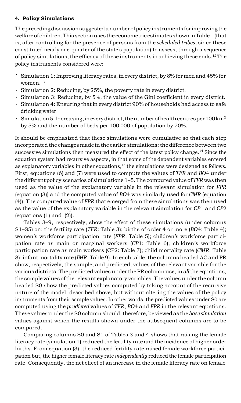## **4. Policy Simulations**

The preceding discussion suggested a number of policy instruments for improving the welfare of children. This section uses the econometric estimates shown in Table 1 (that is, after controlling for the presence of persons from the *scheduled tribes*, since these constituted nearly one-quarter of the state's population) to assess, through a sequence of policy simulations, the efficacy of these instruments in achieving these ends.<sup>12</sup> The policy instruments considered were:

- Simulation 1: Improving literacy rates, in every district, by 8% for men and 45% for women.<sup>13</sup>
- · Simulation 2: Reducing, by 25%, the poverty rate in every district.
- · Simulation 3: Reducing, by 5%, the value of the Gini coefficient in every district.
- · Simulation 4: Ensuring that in every district 90% of households had access to safe drinking water.
- Simulation 5: Increasing, in every district, the number of health centres per  $100 \text{km}^2$ by 5% and the number of beds per 100 000 of population by 20%.

It should be emphasized that these simulations were cumulative so that each step incorporated the changes made in the earlier simulations: the difference between two successive simulations then measured the effect of the latest policy change.<sup>14</sup> Since the equation system had recursive aspects, in that some of the dependent variables entered as explanatory variables in other equations, $15$  the simulations were designed as follows. First, equations (6) and (7) were used to compute the values of *TFR* and *BO*4 under the different policy scenarios of simulations 1–5. The computed value of *TFR* was then used as the value of the explanatory variable in the relevant simulation for *FPR*  (equation (3)) and the computed value of *BO*4 was similarly used for *CMR* (equation (4)). The computed value of *FPR* that emerged from these simulations was then used as the value of the explanatory variable in the relevant simulation for *CP*1 and *CP*2 (equations (1) and (2)).

Tables 3–9, respectively, show the effect of these simulations (under columns S1–S5) on: the fertility rate (*TFR*: Table 3); births of order 4 or more (*BO*4: Table 4); women's workforce participation rate (*FPR*: Table 5); children's workforce participation rate as main or marginal workers (*CP*1: Table 6); children's workforce participation rate as main workers (CP2: Table 7); child mortality rate (*CMR*: Table 8); infant mortality rate (*IMR*: Table 9). In each table, the columns headed AC and PR show, respectively, the sample, and predicted, values of the relevant variable for the various districts. The predicted values under the PR column use, in *all* the equations, the sample values of the relevant explanatory variables. The values under the column headed S0 show the predicted values computed by taking account of the recursive nature of the model, described above, but without altering the values of the policy instruments from their sample values. In other words, the predicted values under S0 are computed using the *predicted* values of *TFR*, *BO*4 and *FPR* in the relevant equations. These values under the S0 column should, therefore, be viewed as the *base simulation*  values against which the results shown under the subsequent columns are to be compared.

Comparing columns S0 and S1 of Tables 3 and 4 shows that raising the female literacy rate (simulation 1) reduced the fertility rate and the incidence of higher order births. From equation (3), the reduced fertility rate raised female workforce participation but, the higher female literacy rate *independently* reduced the female participation rate. Consequently, the net effect of an increase in the female literacy rate on female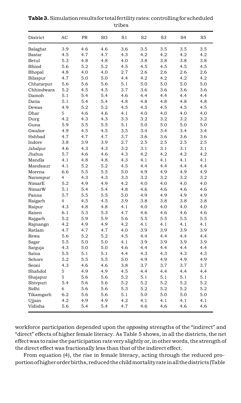| District     | AC             | PR  | SO  | S <sub>1</sub> | S <sub>2</sub> | S <sub>3</sub> | S <sub>4</sub> | S5  |
|--------------|----------------|-----|-----|----------------|----------------|----------------|----------------|-----|
| Balaghat     | 3.9            | 4.6 | 4.6 | 3.6            | 3.5            | 3.5            | 3.5            | 3.5 |
| Bastar       | 4.5            | 4.7 | 4.7 | 4.3            | 4.2            | 4.2            | 4.2            | 4.2 |
| <b>Betul</b> | 5.3            | 4.8 | 4.8 | 4.0            | 3.8            | 3.8            | 3.8            | 3.8 |
| Bhind        | 5.6            | 5.2 | 5.2 | 4.5            | 4.5            | 4.5            | 4.5            | 4.5 |
| Bhopal       | 4.8            | 4.0 | 4.0 | 2.7            | 2.6            | 2.6            | 2.6            | 2.6 |
| Bilaspur     | 4.7            | 5.0 | 5.0 | 4.4            | 4.2            | 4.2            | 4.2            | 4.2 |
| Chhatarpur   | 5.6            | 5.6 | 5.6 | 5.1            | 5.0            | 5.0            | 5.0            | 5.0 |
| Chhindwara   | 5.2            | 4.5 | 4.5 | 3.7            | 3.6            | 3.6            | 3.6            | 3.6 |
| Damoh        | 5.1            | 5.4 | 5.4 | 4.6            | 4.4            | 4.4            | 4.4            | 4.4 |
| Datia        | 5.1            | 5.4 | 5.4 | 4.8            | 4.8            | 4.8            | 4.8            | 4.8 |
| Dewas        | 4.9            | 5.2 | 5.2 | 4.5            | 4.5            | 4.5            | 4.5            | 4.5 |
| Dhar         | 5              | 4.6 | 4.6 | 4.1            | 4.0            | 4.0            | 4.0            | 4.0 |
| Durg         | 4.2            | 4.3 | 4.3 | 3.3            | 3.2            | 3.2            | 3.2            | 3.2 |
| Guna         | 5.9            | 5.5 | 5.5 | 5.1            | 5.0            | 5.0            | 5.0            | 5.0 |
| Gwalior      | 4.9            | 4.5 | 4.5 | 3.5            | 3.4            | 3.4            | 3.4            | 3.4 |
| Hshbad       | 4.7            | 4.7 | 4.7 | 3.7            | 3.6            | 3.6            | 3.6            | 3.6 |
| Indore       | 3.8            | 3.9 | 3.9 | 2.7            | 2.5            | 2.5            | 2.5            | 2.5 |
| Jabalpur     | 4.6            | 4.3 | 4.3 | 3.2            | 3.1            | 3.1            | 3.1            | 3.1 |
| Jhabua       | 5.7            | 4.6 | 4.6 | 4.3            | 4.2            | 4.2            | 4.2            | 4.2 |
| Mandla       | 4.1            | 4.8 | 4.8 | 4.3            | 4.1            | 4.1            | 4.1            | 4.1 |
| Mandsaur     | 4.1            | 5.2 | 5.2 | 4.5            | 4.4            | 4.4            | 4.4            | 4.4 |
| Morena       | 6.6            | 5.5 | 5.5 | 5.0            | 4.9            | 4.9            | 4.9            | 4.9 |
| Narsmpur     | $\overline{4}$ | 4.3 | 4.3 | 3.3            | 3.2            | 3.2            | 3.2            | 3.2 |
| NimarE       | 5.2            | 4.9 | 4.9 | 4.2            | 4.0            | 4.0            | 4.0            | 4.0 |
| NimarW       | 5.1            | 5.4 | 5.4 | 4.8            | 4.6            | 4.6            | 4.6            | 4.6 |
| Panna        | 5.7            | 5.5 | 5.5 | 5.0            | 4.9            | 4.9            | 4.9            | 4.9 |
| Raigarh      | 4              | 4.5 | 4.5 | 3.9            | 3.8            | 3.8            | 3.8            | 3.8 |
| Raipur       | 4.3            | 4.8 | 4.8 | 4.1            | 4.0            | 4.0            | 4.0            | 4.0 |
| Raisen       | 6.1            | 5.3 | 5.3 | 4.7            | 4.6            | 4.6            | 4.6            | 4.6 |
| Rajgarh      | 5.2            | 5.9 | 5.9 | 5.6            | 5.5            | 5.5            | 5.5            | 5.5 |
| Rajnangn     | 4.2            | 4.9 | 4.9 | 4.2            | 4.1            | 4.1            | 4.1            | 4.1 |
| Ratlam       | 4.7            | 4.7 | 4.7 | 4.0            | 3.9            | 3.9            | 3.9            | 3.9 |
| Rewa         | 5.6            | 5.2 | 5.2 | 4.5            | 4.4            | 4.4            | 4.4            | 4.4 |
| Sagar        | 5.5            | 5.0 | 5.0 | 4.1            | 3.9            | 3.9            | 3.9            | 3.9 |
| Sarguja      | 4.3            | 5.0 | 5.0 | 4.6            | 4.4            | 4.4            | 4.4            | 4.4 |
| Satna        | 5.5            | 5.1 | 5.1 | 4.4            | 4.3            | 4.3            | 4.3            | 4.3 |
| Sehore       | 5.2            | 5.5 | 5.5 | 5.0            | 4.9            | 4.9            | 4.9            | 4.9 |
| Seoni        | 4.3            | 4.6 | 4.6 | 3.8            | 3.7            | 3.7            | 3.7            | 3.7 |
| Shahdol      | 5              | 4.9 | 4.9 | 4.5            | 4.4            | 4.4            | 4.4            | 4.4 |
| Shajapur     | 5              | 5.6 | 5.6 | 5.2            | 5.1            | 5.1            | 5.1            | 5.1 |
| Shivpuri     | 5.4            | 5.6 | 5.6 | 5.2            | 5.2            | 5.2            | 5.2            | 5.2 |
| Sidhi        | 6              | 5.6 | 5.6 | 5.3            | 5.2            | 5.2            | 5.2            | 5.2 |
| Tikamgarh    | 6.2            | 5.6 | 5.6 | 5.1            | 5.0            | 5.0            | 5.0            | 5.0 |
| Ujjain       | 4.2            | 4.9 | 4.9 | 4.2            | 4.1            | 4.1            | 4.1            | 4.1 |
| Vidisha      | 5.6            | 5.4 | 5.4 | 4.7            | 4.6            | 4.6            | 4.6            | 4.6 |

**Table 3.** Simulation results for total fertility rates: controlling for scheduled tribes

workforce participation depended upon the *opposing* strengths of the "indirect" and "direct" effects of higher female literacy. As Table 5 shows, in all the districts, the net effect was to raise the participation rate very slightly or, in other words, the strength of the direct effect was fractionally less than that of the indirect effect.

From equation (4), the rise in female literacy, acting through the reduced proportion of higher order births, reduced the child mortality rate in all the districts (Table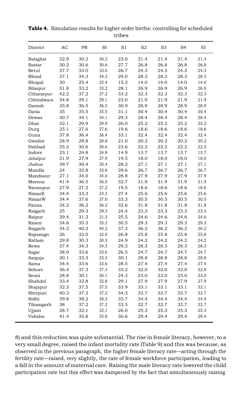| District   | AC   | PR   | S <sub>0</sub> | S1   | S <sub>2</sub> | S <sub>3</sub> | S <sub>4</sub> | S5   |
|------------|------|------|----------------|------|----------------|----------------|----------------|------|
| Balaghat   | 22.9 | 30.2 | 30.2           | 23.0 | 21.4           | 21.4           | 21.4           | 21.4 |
| Bastar     | 30.2 | 30.6 | 30.6           | 27.7 | 26.8           | 26.8           | 26.8           | 26.8 |
| Betul      | 37.7 | 33.0 | 33.0           | 26.7 | 24.3           | 24.3           | 24.3           | 24.3 |
| Bhind      | 37.1 | 34.3 | 34.3           | 29.0 | 28.3           | 28.3           | 28.3           | 28.3 |
| Bhopal     | 30   | 25.4 | 25.4           | 15.3 | 14.0           | 14.0           | 14.0           | 14.0 |
| Bilaspur   | 31.8 | 33.2 | 33.2           | 28.1 | 26.9           | 26.9           | 26.9           | 26.9 |
| Chhatarpur | 42.2 | 37.2 | 37.2           | 33.2 | 32.3           | 32.3           | 32.3           | 32.3 |
| Chhindwara | 34.8 | 29.1 | 29.1           | 23.0 | 21.9           | 21.9           | 21.9           | 21.9 |
| Damoh      | 35.8 | 36.5 | 36.5           | 30.9 | 28.9           | 28.9           | 28.9           | 28.9 |
| Datia      | 35   | 35.5 | 35.5           | 31.1 | 30.4           | 30.4           | 30.4           | 30.4 |
| Dewas      | 30.7 | 34.1 | 34.1           | 29.3 | 28.4           | 28.4           | 28.4           | 28.4 |
| Dhar       | 32.1 | 29.9 | 29.9           | 26.0 | 25.2           | 25.2           | 25.2           | 25.2 |
| Durg       | 25.1 | 27.6 | 27.6           | 19.6 | 18.6           | 18.6           | 18.6           | 18.6 |
| Guna       | 37.8 | 36.4 | 36.4           | 33.1 | 32.4           | 32.4           | 32.4           | 32.4 |
| Gwalior    | 28.9 | 28.8 | 28.8           | 21.0 | 20.2           | 20.2           | 20.2           | 20.2 |
| Hshbad     | 35.3 | 30.6 | 30.6           | 23.6 | 22.2           | 22.2           | 22.2           | 22.2 |
| Indore     | 23.1 | 24.8 | 24.8           | 14.9 | 13.7           | 13.7           | 13.7           | 13.7 |
| Jabalpur   | 31.9 | 27.9 | 27.9           | 19.5 | 18.0           | 18.0           | 18.0           | 18.0 |
| Jhabua     | 39.7 | 30.4 | 30.4           | 28.2 | 27.1           | 27.1           | 27.1           | 27.1 |
| Mandla     | 24   | 32.8 | 32.8           | 28.6 | 26.7           | 26.7           | 26.7           | 26.7 |
| Mandsaur   | 27.1 | 34.0 | 34.0           | 28.8 | 27.9           | 27.9           | 27.9           | 27.9 |
| Morena     | 41.4 | 36.5 | 36.5           | 32.7 | 31.9           | 31.9           | 31.9           | 31.9 |
| Narsmpur   | 27.9 | 27.2 | 27.2           | 19.5 | 18.6           | 18.6           | 18.6           | 18.6 |
| NimarE     | 34.4 | 33.3 | 33.3           | 27.4 | 25.6           | 25.6           | 25.6           | 25.6 |
| NimarW     | 34.4 | 37.6 | 37.6           | 33.3 | 30.5           | 30.5           | 30.5           | 30.5 |
| Panna      | 34.2 | 36.2 | 36.2           | 32.6 | 31.8           | 31.8           | 31.8           | 31.8 |
| Raigarh    | 25   | 29.3 | 29.3           | 24.4 | 23.3           | 23.3           | 23.3           | 23.3 |
| Raipur     | 29.4 | 31.3 | 31.3           | 25.5 | 24.6           | 24.6           | 24.6           | 24.6 |
| Raisen     | 34.6 | 35.3 | 35.3           | 30.5 | 29.3           | 29.3           | 29.3           | 29.3 |
| Rajgarh    | 34.2 | 40.2 | 40.2           | 37.3 | 36.2           | 36.2           | 36.2           | 36.2 |
| Rajnangn   | 26   | 32.0 | 32.0           | 26.8 | 25.8           | 25.8           | 25.8           | 25.8 |
| Ratlam     | 29.8 | 30.3 | 30.3           | 24.9 | 24.2           | 24.2           | 24.2           | 24.2 |
| Rewa       | 37.4 | 34.3 | 34.3           | 29.3 | 28.3           | 28.3           | 28.3           | 28.3 |
| Sagar      | 38.9 | 33.6 | 33.6           | 26.5 | 24.7           | 24.7           | 24.7           | 24.7 |
| Sarguja    | 30.1 | 33.3 | 33.3           | 30.1 | 28.8           | 28.8           | 28.8           | 28.8 |
| Satna      | 34.4 | 33.6 | 33.6           | 28.5 | 27.4           | 27.4           | 27.4           | 27.4 |
| Sehore     | 36.4 | 37.3 | 37.3           | 33.2 | 32.0           | 32.0           | 32.0           | 32.0 |
| Seoni      | 28.8 | 30.1 | 30.1           | 24.3 | 23.0           | 23.0           | 23.0           | 23.0 |
| Shahdol    | 33.4 | 32.8 | 32.8           | 29.1 | 27.9           | 27.9           | 27.9           | 27.9 |
| Shajapur   | 32.3 | 37.5 | 37.5           | 33.9 | 33.1           | 33.1           | 33.1           | 33.1 |
| Shivpuri   | 40.3 | 37.2 | 37.2           | 34.3 | 33.7           | 33.7           | 33.7           | 33.7 |
| Sidhi      | 39.8 | 38.2 | 38.2           | 35.7 | 34.4           | 34.4           | 34.4           | 34.4 |
| Tikamgarh  | 38   | 37.2 | 37.2           | 33.5 | 32.7           | 32.7           | 32.7           | 32.7 |
| Ujjain     | 28.7 | 32.1 | 32.1           | 26.0 | 25.3           | 25.3           | 25.3           | 25.3 |
| Vidisha    | 41.4 | 35.8 | 35.8           | 30.6 | 29.4           | 29.4           | 29.4           | 29.4 |

**Table 4.** Simulation results for higher order births: controlling for scheduled tribes

8) and this reduction was quite substantial. The rise in female literacy, however, to a very small degree, raised the infant mortality rate (Table 9) and this was because, as observed in the previous paragraph, the higher female literacy rate—acting through the fertility rate—raised, very slightly, the rate of female workforce participation, leading to a fall in the amount of maternal care. Raising the male literacy rate lowered the child participation rate but this effect was dampened by the fact that simultaneously raising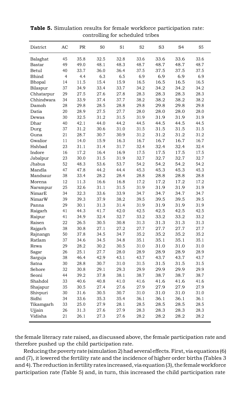| District            | AC             | PR           | S <sub>0</sub> | S1           | S <sub>2</sub> | S <sub>3</sub> | S <sub>4</sub> | S5           |
|---------------------|----------------|--------------|----------------|--------------|----------------|----------------|----------------|--------------|
| Balaghat            | 45             | 35.8         | 32.5           | 32.8         | 33.6           | 33.6           | 33.6           | 33.6         |
| <b>Bastar</b>       | 49             | 49.0         | 48.1           | 48.3         | 48.7           | 48.7           | 48.7           | 48.7         |
| Betul               | 40             | 33.7         | 36.0           | 36.4         | 37.5           | 37.5           | 37.5           | 37.5         |
| Bhind               | $\overline{4}$ | 4.4          | 6.3            | 6.5          | 6.9            | 6.9            | 6.9            | 6.9          |
| Bhopal              | 14             | 11.5         | 15.4           | 15.9         | 16.5           | 16.5           | 16.5           | 16.5         |
| Bilaspur            | 37             | 34.9         | 33.4           | 33.7         | 34.2           | 34.2           | 34.2           | 34.2         |
| Chhatarpur          | 29             | 27.5         | 27.6           | 27.8         | 28.3           | 28.3           | 28.3           | 28.3         |
| Chhindwara          | 34             | 33.9         | 37.4           | 37.7         | 38.2           | 38.2           | 38.2           | 38.2         |
| Damoh               | 28             | 29.8         | 28.5           | 28.8         | 29.8           | 29.8           | 29.8           | 29.8         |
| Datia               | 20             | 28.9         | 27.5           | 27.7         | 28.0           | 28.0           | 28.0           | 28.0         |
| Dewas               | 30             | 32.5         | 31.2           | 31.5         | 31.9           | 31.9           | 31.9           | 31.9         |
| Dhar                | 40             | 42.1         | 44.0           | 44.2         | 44.5           | 44.5           | 44.5           | 44.5         |
| Durg                | 37             | 31.2         | 30.6           | 31.0         | 31.5           | 31.5           | 31.5           | 31.5         |
| Guna                | 21             | 28.7         | 30.7           | 30.9         | 31.2           | 31.2           | 31.2           | 31.2         |
| Gwalior             | 11             | 14.0         | 15.9           | 16.3         | 16.7           | 16.7           | 16.7           | 16.7         |
| Hshbad              | 23             | 31.1         | 31.4           | 31.7         | 32.4           | 32.4           | 32.4           | 32.4         |
| Indore              | 16             | 17.2         | 16.4           | 16.9         | 17.5           | 17.5           | 17.5           | 17.5         |
| Jabalpur            | 23             | 30.0         | 31.5           | 31.9         | 32.7           | 32.7           | 32.7           | 32.7         |
| Jhabua              | 52             | 48.3         | 53.6           | 53.7         | 54.2           | 54.2           | 54.2           | 54.2         |
| Mandla              | 47             | 47.8         | 44.2           | 44.4         | 45.3           | 45.3           | 45.3           | 45.3         |
| Mandsaur            | 38             | 33.4         | 28.2           | 28.4         | 28.8           | 28.8           | 28.8           | 28.8         |
| Morena              | 12             | 11.3         | 16.6           | 16.8         | 17.2           | 17.2           | 17.2           | 17.2         |
| Narsmpur            | 25             | 32.6         | 31.1           | 31.5         | 31.9           | 31.9           | 31.9           | 31.9         |
| NimarE              | 34             | 32.3         | 33.6           | 33.9         | 34.7           | 34.7           | 34.7           | 34.7         |
| NimarW              | 39             | 39.3         | 37.9           | 38.2         | 39.5           | 39.5           | 39.5           | 39.5         |
| Panna               | 29             | 30.1         | 31.3           | 31.4         | 31.9           | 31.9           | 31.9           | 31.9         |
| Raigarh             | 41             | 44.3         | 41.7           | 42.0         | 42.5           | 42.5           | 42.5           | 42.5         |
| Raipur              | 41             | 34.9         | 32.4           | 32.7         | 33.2           | 33.2           | 33.2           | 33.2         |
| Raisen              | 22             | 26.5         | 30.5           | 30.8         | 31.3           | 31.3           | 31.3           | 31.3         |
| Rajgarh             | 38             | 30.8         | 27.1           | 27.2         | 27.7           | 27.7           | 27.7           | 27.7         |
| Rajnangn            | 50             | 37.8         | 34.5           | 34.7         | 35.2           | 35.2           | 35.2           | 35.2         |
| Ratlam              | 37             | 34.6         | 34.5           | 34.8         | 35.1           | 35.1           | 35.1           | 35.1         |
| Rewa                | 29             | 28.2         | 30.2           | 30.5         | 31.0           | 31.0           | 31.0           | 31.0         |
| Sagar               | 26             | 25.1         | 27.7           | 28.0         | 28.9           | 28.9           | 28.9           | 28.9         |
| Sarguja             | 38             | 46.4         | 42.9           | 43.1         | 43.7           | 43.7           | 43.7           | 43.7         |
| Satna               | 30             | 28.8         | 30.7           | 31.0         | 31.5           | 31.5           | 31.5           | 31.5         |
| Sehore              | 32             | 30.8         | 29.1           | 29.3         | 29.9           | 29.9           | 29.9           | 29.9         |
| Seoni               | 44             | 39.2         | 37.8           | 38.1         | 38.7           | 38.7           | 38.7           | 38.7         |
| Shahdol             | 33             | 40.6         | 40.8           | 41.0         | 41.6           | 41.6           | 41.6           | 41.6         |
| Shajapur            | 35<br>30       | 30.5         | 27.4           | 27.6         | 27.9           | 27.9           | 27.9           | 27.9         |
| Shivpuri<br>Sidhi   | 34             | 31.6         | 30.5           | 30.7         | 31.0           | 31.0           | 31.0           | 31.0         |
|                     | 33             | 33.6<br>25.0 | 35.3           | 35.4         | 36.1           | 36.1<br>28.5   | 36.1<br>28.5   | 36.1<br>28.5 |
| Tikamgarh<br>Ujjain | 26             | 31.3         | 27.9<br>27.6   | 28.1<br>27.9 | 28.5<br>28.3   | 28.3           | 28.3           | 28.3         |
| Vidisha             | 21             |              |                |              | 28.2           | 28.2           | 28.2           | 28.2         |
|                     |                | 26.1         | 27.3           | 27.6         |                |                |                |              |

**Table 5.** Simulation results for female workforce participation rate: controlling for scheduled tribes

the female literacy rate raised, as discussed above, the female participation rate and therefore pushed up the child participation rate.

Reducing the poverty rate (simulation 2) had several effects. First, via equations (6) and (7), it lowered the fertility rate and the incidence of higher order births (Tables 3 and 4). The reduction in fertility rates increased, via equation (3), the female workforce participation rate (Table 5) and, in turn, this increased the child participation rate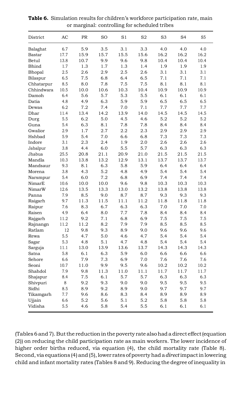| District     | AC   | <b>PR</b> | SO   | S <sub>1</sub> | S2      | S3   | S <sub>4</sub> | S5   |
|--------------|------|-----------|------|----------------|---------|------|----------------|------|
| Balaghat     | 6.7  | 5.9       | 3.5  | 3.1            | 3.3     | 4.0  | 4.0            | 4.0  |
| Bastar       | 17.7 | 15.9      | 15.7 | 15.5           | 15.6    | 16.2 | 16.2           | 16.2 |
| <b>Betul</b> | 13.8 | 10.7      | 9.9  | 9.6            | 9.8     | 10.4 | 10.4           | 10.4 |
| Bhind        | 1.7  | 1.3       | 1.7  | 1.3            | 1.4     | 1.9  | 1.9            | 1.9  |
| Bhopal       | 2.5  | 2.6       | 2.9  | 2.5            | 2.6     | 3.1  | 3.1            | 3.1  |
| Bilaspur     | 6.5  | 7.5       | 6.8  | 6.4            | 6.5     | 7.1  | 7.1            | 7.1  |
| Chhatarpur   | 8.5  | 8.0       | 7.8  | 7.5            | 7.5     | 8.1  | 8.1            | 8.1  |
| Chhindwara   | 10.5 | 10.0      | 10.6 | 10.3           | 10.4    | 10.9 | 10.9           | 10.9 |
| Damoh        | 6.4  | 5.6       | 5.7  | 5.3            | 5.5     | 6.1  | 6.1            | 6.1  |
| Datia        | 4.8  | 4.9       | 6.3  | 5.9            | 5.9     | 6.5  | 6.5            | 6.5  |
| Dewas        | 6.2  | 7.2       | 7.4  | 7.0            | 7.1     | 7.7  | 7.7            | 7.7  |
| Dhar         | 11.4 | 13.4      | 14.2 | 13.9           | 14.0    | 14.5 | 14.5           | 14.5 |
| Durg         | 5.5  | 6.2       | 5.0  | 4.5            | 4.6     | 5.2  | 5.2            | 5.2  |
| Guna         | 5.4  | 6.3       | 8.1  | 7.8            | 7.8     | 8.4  | 8.4            | 8.4  |
| Gwalior      | 2.9  | 1.7       | 2.7  | 2.2            | 2.3     | 2.9  | 2.9            | 2.9  |
| Hshbad       | 5.9  | 5.4       | 7.0  | 6.6            | 6.8     | 7.3  | 7.3            | 7.3  |
| Indore       | 3.1  | 2.3       | 2.4  | 1.9            | 2.0     | 2.6  | 2.6            | 2.6  |
| Jabalpur     | 3.8  | 4.4       | 6.0  | 5.5            | 5.7     | 6.3  | 6.3            | 6.3  |
| Jhabua       | 25.5 | 20.8      | 21.1 | 20.9           | 21.0    | 21.5 | 21.5           | 21.5 |
| Mandla       | 10.3 | 13.8      | 13.2 | 12.9           | 13.1    | 13.7 | 13.7           | 13.7 |
| Mandsaur     | 9.3  | 8.1       | 6.3  | 5.8            | 5.9     | 6.4  | 6.4            | 6.4  |
| Morena       | 3.8  | 4.3       | 5.2  | 4.8            | 4.9     | 5.4  | 5.4            | 5.4  |
| Narsmpur     | 5.4  | 6.0       | 7.2  | 6.8            | 6.9     | 7.4  | 7.4            | 7.4  |
| NimarE       | 10.6 | 10.0      | 10.0 | 9.6            | 9.8     | 10.3 | 10.3           | 10.3 |
| NimarW       | 12.6 | 13.5      | 13.3 | 13.0           | 13.2    | 13.8 | 13.8           | 13.8 |
| Panna        | 7.9  | 8.5       | 9.0  | 8.7            | 8.7     | 9.3  | 9.3            | 9.3  |
| Raigarh      | 9.7  | 11.3      | 11.5 | 11.1           | 11.2    | 11.8 | 11.8           | 11.8 |
| Raipur       | 7.6  | 8.3       | 6.7  | 6.3            | 6.3     | 7.0  | 7.0            | 7.0  |
| Raisen       | 4.9  | 6.4       | 8.0  | 7.7            | 7.8     | 8.4  | 8.4            | 8.4  |
| Rajgarh      | 11.2 | 9.2       | 7.1  | 6.8            | 6.9     | 7.5  | 7.5            | 7.5  |
| Rajnangn     | 11.2 | 11.2      | 8.2  | 7.9            | 7.9     | 8.5  | 8.5            | 8.5  |
| Ratlam       | 12   | 9.8       | 9.3  | 8.9            | 9.0     | 9.6  | 9.6            | 9.6  |
| Rewa         | 5.5  | 4.7       | 5.0  | 4.6            | 4.7     | 5.4  | 5.4            | 5.4  |
| Sagar        | 5.3  | 4.8       | 5.1  | 4.7            | 4.8     | 5.4  | 5.4            | 5.4  |
| Sarguja      | 11.1 | 13.0      | 13.9 | 13.6           | 13.7    | 14.3 | 14.3           | 14.3 |
| Satna        | 5.8  | 6.1       | 6.3  | 5.9            | 6.0     | 6.6  | 6.6            | 6.6  |
| Sehore       | 6.6  | 7.9       | 7.3  | 6.9            | $7.0\,$ | 7.6  | 7.6            | 7.6  |
| Seoni        | 10.7 | 11.0      | 9.9  | 9.5            | 9.6     | 10.2 | 10.2           | 10.2 |
| Shahdol      | 7.9  | 9.8       | 11.3 | 11.0           | 11.1    | 11.7 | 11.7           | 11.7 |
| Shajapur     | 8.4  | 7.5       | 6.1  | 5.7            | 5.7     | 6.3  | 6.3            | 6.3  |
| Shivpuri     | 8    | 9.2       | 9.3  | 9.0            | 9.0     | 9.5  | 9.5            | 9.5  |
| Sidhi        | 8.5  | 8.9       | 9.2  | 8.9            | 9.0     | 9.7  | 9.7            | 9.7  |
| Tikamgarh    | 7.7  | 9.6       | 8.6  | 8.3            | 8.4     | 8.9  | 8.9            | 8.9  |
| Ujjain       | 6.6  | 5.2       | 5.6  | 5.1            | 5.2     | 5.8  | 5.8            | 5.8  |
| Vidisha      | 5.5  | 4.6       | 5.8  | 5.4            | 5.5     | 6.1  | 6.1            | 6.1  |

**Table 6.** Simulation results for children's workforce participation rate, main or marginal: controlling for scheduled tribes

(Tables 6 and 7). But the reduction in the poverty rate also had a direct effect (equation (2)) on reducing the child participation rate as main workers. The lower incidence of higher order births reduced, via equation (4), the child mortality rate (Table 8). Second, via equations (4) and (5), lower rates of poverty had a *direct* impact in lowering child and infant mortality rates (Tables 8 and 9). Reducing the degree of inequality in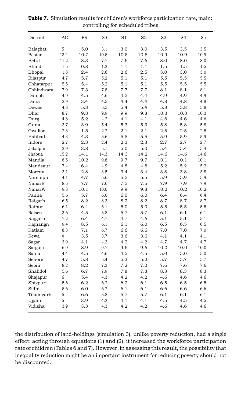| District     | AC             | <b>PR</b> | S <sub>0</sub> | S <sub>1</sub> | S2   | S3   | S <sub>4</sub> | S5   |
|--------------|----------------|-----------|----------------|----------------|------|------|----------------|------|
| Balaghat     | 5              | 5.0       | 3.1            | 3.0            | 3.0  | 3.5  | 3.5            | 3.5  |
| Bastar       | 13.4           | 10.7      | 10.5           | 10.5           | 10.5 | 10.9 | 10.9           | 10.9 |
| <b>Betul</b> | 11.2           | 8.3       | 7.7            | 7.6            | 7.6  | 8.0  | 8.0            | 8.0  |
| Bhind        | 1.5            | 0.8       | 1.2            | 1.1            | 1.1  | 1.5  | 1.5            | 1.5  |
| Bhopal       | 1.8            | 2.4       | 2.6            | 2.6            | 2.5  | 3.0  | 3.0            | 3.0  |
| Bilaspur     | 4.7            | 5.7       | 5.2            | 5.1            | 5.1  | 5.5  | 5.5            | 5.5  |
| Chhatarpur   | 5.5            | 5.4       | 5.2            | 5.1            | 5.1  | 5.5  | 5.5            | 5.5  |
| Chhindwara   | 7.9            | 7.3       | 7.8            | 7.7            | 7.7  | 8.1  | 8.1            | 8.1  |
| Damoh        | 4.9            | 4.5       | 4.6            | 4.5            | 4.4  | 4.9  | 4.9            | 4.9  |
| Datia        | 2.9            | 3.4       | 4.5            | 4.4            | 4.4  | 4.8  | 4.8            | 4.8  |
| Dewas        | 4.8            | 5.3       | 5.5            | 5.4            | 5.4  | 5.8  | 5.8            | 5.8  |
| Dhar         | 8.7            | 9.3       | 9.9            | 9.9            | 9.8  | 10.3 | 10.3           | 10.3 |
| Durg         | 4.8            | 5.2       | 4.2            | 4.1            | 4.1  | 4.6  | 4.6            | 4.6  |
| Guna         | 3.7            | 3.9       | 5.4            | 5.3            | 5.3  | 5.8  | 5.8            | 5.8  |
| Gwalior      | 2.3            | 1.5       | 2.2            | 2.1            | 2.1  | 2.5  | 2.5            | 2.5  |
| Hshbad       | 4.3            | 4.3       | 5.6            | 5.5            | 5.5  | 5.9  | 5.9            | 5.9  |
| Indore       | 2.7            | 2.3       | 2.4            | 2.3            | 2.3  | 2.7  | 2.7            | 2.7  |
| Jabalpur     | 2.9            | 3.8       | 5.1            | 5.0            | 5.0  | 5.4  | 5.4            | 5.4  |
| Jhabua       | 15.2           | 14.1      | 14.3           | 14.3           | 14.2 | 14.6 | 14.6           | 14.6 |
|              | 8.5            | 10.2      | 9.8            | 9.7            | 9.7  | 10.1 | 10.1           |      |
| Mandla       |                |           |                |                |      |      |                | 10.1 |
| Mandsaur     | 7.4            | 6.4       | 4.9            | 4.8            | 4.8  | 5.2  | 5.2            | 5.2  |
| Morena       | 3.1            | 2.8       | 3.5            | 3.4            | 3.4  | 3.8  | 3.8            | 3.8  |
| Narsmpur     | 4.1            | 4.7       | 5.6            | 5.5            | 5.5  | 5.9  | 5.9            | 5.9  |
| NimarE       | 8.5            | 7.7       | 7.6            | 7.5            | 7.5  | 7.9  | 7.9            | 7.9  |
| NimarW       | 9.8            | 10.1      | 10.0           | 9.9            | 9.8  | 10.2 | 10.2           | 10.2 |
| Panna        | 5.6            | 5.7       | 6.0            | 6.0            | 6.0  | 6.4  | 6.4            | 6.4  |
| Raigarh      | 6.5            | 8.2       | 8.3            | 8.2            | 8.2  | 8.7  | 8.7            | 8.7  |
| Raipur       | 6.1            | 6.4       | 5.1            | 5.0            | 5.0  | 5.5  | 5.5            | 5.5  |
| Raisen       | 3.6            | 4.5       | 5.8            | 5.7            | 5.7  | 6.1  | 6.1            | 6.1  |
| Rajgarh      | 7.2            | 6.4       | 4.7            | 4.7            | 4.6  | 5.1  | 5.1            | 5.1  |
| Rajnangn     | 9.4            | 8.5       | 6.1            | 6.1            | 6.0  | 6.5  | 6.5            | 6.5  |
| Ratlam       | 8.3            | 7.1       | 6.7            | 6.6            | 6.6  | 7.0  | 7.0            | 7.0  |
| Rewa         | $\overline{4}$ | 3.5       | 3.7            | 3.6            | 3.6  | 4.1  | 4.1            | 4.1  |
| Sagar        | 3.9            | 4.1       | 4.3            | 4.2            | 4.2  | 4.7  | 4.7            | 4.7  |
| Sarguja      | 6.9            | 8.9       | 9.7            | 9.6            | 9.6  | 10.0 | 10.0           | 10.0 |
| Satna        | 4.4            | 4.5       | 4.6            | 4.5            | 4.5  | 5.0  | 5.0            | 5.0  |
| Sehore       | 4.7            | 5.8       | 5.4            | 5.3            | 5.2  | 5.7  | 5.7            | 5.7  |
| Seoni        | 8.2            | 8.2       | 7.3            | 7.2            | 7.2  | 7.6  | 7.6            | 7.6  |
| Shahdol      | 5.6            | 6.7       | 7.9            | 7.8            | 7.8  | 8.3  | 8.3            | 8.3  |
| Shajapur     | 6              | 5.4       | 4.3            | 4.2            | 4.2  | 4.6  | 4.6            | 4.6  |
| Shivpuri     | 5.6            | 6.2       | 6.2            | 6.2            | 6.1  | 6.5  | 6.5            | 6.5  |
| Sidhi        | 5.6            | 6.0       | 6.2            | 6.1            | 6.1  | 6.6  | 6.6            | 6.6  |
| Tikamgarh    | 5              | 6.6       | 5.8            | 5.7            | 5.7  | 6.1  | 6.1            | 6.1  |
| Ujjain       | 5              | 3.9       | 4.2            | 4.1            | 4.1  | 4.5  | 4.5            | 4.5  |
| Vidisha      | 3.9            | 3.3       | 4.3            | 4.2            | 4.2  | 4.6  | 4.6            | 4.6  |

**Table 7.** Simulation results for children's workforce participation rate, main: controlling for scheduled tribes

the distribution of land-holdings (simulation 3), unlike poverty reduction, had a single effect: acting through equations (1) and (2), it increased the workforce participation rate of children (Tables 6 and 7). However, in assessing this result, the possibility that inequality reduction might be an important instrument for reducing poverty should not be discounted.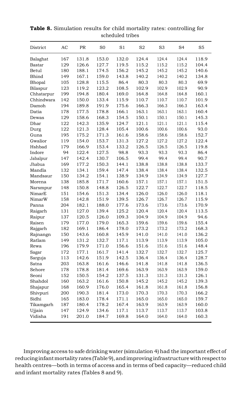| 167<br>131.8<br>153.0<br>132.0<br>124.4<br>124.4<br>124.4<br>118.9<br>Balaghat<br>129<br>126.6<br>127.7<br>119.5<br>115.2<br>115.2<br>115.2<br>104.4<br>Bastar<br>174.5<br>156.2<br>145.2<br><b>Betul</b><br>180<br>188.1<br>145.2<br>145.2<br>140.6<br>Bhind<br>149<br>167.1<br>159.0<br>143.8<br>140.2<br>140.2<br>140.2<br>134.8<br>115.5<br>80.3<br>69.9<br>Bhopal<br>105<br>128.8<br>86.4<br>80.3<br>80.3<br>Bilaspur<br>123<br>119.2<br>123.2<br>108.5<br>102.9<br>102.9<br>102.9<br>90.9<br>199<br>180.4<br>164.8<br>Chhatarpur<br>194.8<br>169.0<br>164.8<br>164.8<br>160.1<br>Chhindwara<br>142<br>150.0<br>133.4<br>115.9<br>101.9<br>110.7<br>110.7<br>110.7<br>194<br>191.9<br>Damoh<br>189.8<br>175.6<br>166.3<br>166.3<br>166.3<br>163.4<br>Datia<br>178<br>177.5<br>178.8<br>166.1<br>163.1<br>163.1<br>163.1<br>160.4<br>129<br>158.6<br>168.3<br>154.5<br>150.1<br>150.1<br>Dewas<br>150.1<br>145.3<br>Dhar<br>122<br>142.3<br>135.9<br>124.7<br>121.1<br>121.1<br>121.1<br>115.4<br>93.0<br>Durg<br>122<br>121.3<br>128.4<br>105.4<br>100.6<br>100.6<br>100.6<br>Guna<br>195<br>175.2<br>171.3<br>161.6<br>158.6<br>158.6<br>152.7<br>158.6<br>154.0<br>Gwalior<br>119<br>153.7<br>131.3<br>127.2<br>127.2<br>127.2<br>122.4<br>Hshbad<br>179<br>166.9<br>153.4<br>133.2<br>126.5<br>126.5<br>126.5<br>119.8<br>94<br>122.4<br>127.5<br>98.8<br>93.3<br>Indore<br>93.3<br>93.3<br>86.4<br>147<br>142.4<br>130.7<br>106.5<br>99.4<br>99.4<br>99.4<br>90.7<br>Jabalpur<br>169<br>177.2<br>144.1<br>138.8<br>Jhabua<br>150.3<br>138.8<br>138.8<br>133.7<br>Mandla<br>132<br>134.1<br>159.4<br>147.4<br>138.4<br>138.4<br>138.4<br>132.5<br>150<br>134.2<br>154.1<br>138.9<br>Mandsaur<br>134.9<br>134.9<br>134.9<br>127.7<br>138<br>185.8<br>171.7<br>160.6<br>157.1<br>151.5<br>Morena<br>157.1<br>157.1<br>Narsmpur<br>148<br>150.8<br>148.8<br>126.5<br>122.7<br>122.7<br>122.7<br>118.5<br>NimarE<br>151<br>154.6<br>151.3<br>134.4<br>126.0<br>126.0<br>126.0<br>118.1<br>158<br>151.9<br>139.5<br>126.7<br>126.7<br>115.9<br>NimarW<br>142.8<br>126.7<br>Panna<br>182.1<br>188.0<br>177.6<br>173.6<br>173.6<br>173.6<br>170.9<br>204<br>125.2<br>120.4<br>Raigarh<br>131<br>127.0<br>139.4<br>120.4<br>120.4<br>113.5<br>Raipur<br>137<br>120.5<br>126.0<br>109.3<br>104.9<br>104.9<br>104.9<br>94.6<br>179<br>177.0<br>179.0<br>165.3<br>159.6<br>159.6<br>159.6<br>155.4<br>Raisen<br>Rajgarh<br>182<br>169.1<br>186.4<br>178.0<br>173.2<br>173.2<br>173.2<br>168.3<br>Rajnangn<br>150<br>143.6<br>160.8<br>145.9<br>141.0<br>141.0<br>141.0<br>136.2<br>Ratlam<br>149<br>131.2<br>132.7<br>117.1<br>113.9<br>113.9<br>113.9<br>105.0<br>196<br>179.9<br>Rewa<br>171.0<br>156.6<br>151.6<br>151.6<br>151.6<br>148.4<br>177.1<br>172<br>161.7<br>141.4<br>132.7<br>132.7<br>132.7<br>125.7<br>Sagar<br>Sarguja<br>113<br>142.6<br>151.9<br>142.5<br>136.4<br>136.4<br>136.4<br>128.7<br>Satna<br>203<br>163.8<br>161.6<br>146.6<br>141.8<br>141.8<br>141.8<br>136.5<br>178<br>178.8<br>181.4<br>159.0<br>Sehore<br>169.6<br>163.9<br>163.9<br>163.9<br>Seoni<br>152<br>150.5<br>154.2<br>137.5<br>126.1<br>131.3<br>131.3<br>131.3<br>163.2<br>150.8<br>Shahdol<br>160<br>161.6<br>145.2<br>145.2<br>145.2<br>139.3<br>Shajapur<br>168<br>160.9<br>176.0<br>165.4<br>161.8<br>156.8<br>161.8<br>161.8 | District | AC | PR | S <sub>0</sub> | S1 | S2 | S <sub>3</sub> | S <sub>4</sub> | S5 |
|-----------------------------------------------------------------------------------------------------------------------------------------------------------------------------------------------------------------------------------------------------------------------------------------------------------------------------------------------------------------------------------------------------------------------------------------------------------------------------------------------------------------------------------------------------------------------------------------------------------------------------------------------------------------------------------------------------------------------------------------------------------------------------------------------------------------------------------------------------------------------------------------------------------------------------------------------------------------------------------------------------------------------------------------------------------------------------------------------------------------------------------------------------------------------------------------------------------------------------------------------------------------------------------------------------------------------------------------------------------------------------------------------------------------------------------------------------------------------------------------------------------------------------------------------------------------------------------------------------------------------------------------------------------------------------------------------------------------------------------------------------------------------------------------------------------------------------------------------------------------------------------------------------------------------------------------------------------------------------------------------------------------------------------------------------------------------------------------------------------------------------------------------------------------------------------------------------------------------------------------------------------------------------------------------------------------------------------------------------------------------------------------------------------------------------------------------------------------------------------------------------------------------------------------------------------------------------------------------------------------------------------------------------------------------------------------------------------------------------------------------------------------------------------------------------------------------------------------------------------------------------------------------------------------------------------------------------------------------------------------------------------------------------------------------------------------------------------------------------------------------------------------------------------------------------------------------------------------------------------------------------------------------------------------------------------------------------|----------|----|----|----------------|----|----|----------------|----------------|----|
|                                                                                                                                                                                                                                                                                                                                                                                                                                                                                                                                                                                                                                                                                                                                                                                                                                                                                                                                                                                                                                                                                                                                                                                                                                                                                                                                                                                                                                                                                                                                                                                                                                                                                                                                                                                                                                                                                                                                                                                                                                                                                                                                                                                                                                                                                                                                                                                                                                                                                                                                                                                                                                                                                                                                                                                                                                                                                                                                                                                                                                                                                                                                                                                                                                                                                                                             |          |    |    |                |    |    |                |                |    |
|                                                                                                                                                                                                                                                                                                                                                                                                                                                                                                                                                                                                                                                                                                                                                                                                                                                                                                                                                                                                                                                                                                                                                                                                                                                                                                                                                                                                                                                                                                                                                                                                                                                                                                                                                                                                                                                                                                                                                                                                                                                                                                                                                                                                                                                                                                                                                                                                                                                                                                                                                                                                                                                                                                                                                                                                                                                                                                                                                                                                                                                                                                                                                                                                                                                                                                                             |          |    |    |                |    |    |                |                |    |
|                                                                                                                                                                                                                                                                                                                                                                                                                                                                                                                                                                                                                                                                                                                                                                                                                                                                                                                                                                                                                                                                                                                                                                                                                                                                                                                                                                                                                                                                                                                                                                                                                                                                                                                                                                                                                                                                                                                                                                                                                                                                                                                                                                                                                                                                                                                                                                                                                                                                                                                                                                                                                                                                                                                                                                                                                                                                                                                                                                                                                                                                                                                                                                                                                                                                                                                             |          |    |    |                |    |    |                |                |    |
|                                                                                                                                                                                                                                                                                                                                                                                                                                                                                                                                                                                                                                                                                                                                                                                                                                                                                                                                                                                                                                                                                                                                                                                                                                                                                                                                                                                                                                                                                                                                                                                                                                                                                                                                                                                                                                                                                                                                                                                                                                                                                                                                                                                                                                                                                                                                                                                                                                                                                                                                                                                                                                                                                                                                                                                                                                                                                                                                                                                                                                                                                                                                                                                                                                                                                                                             |          |    |    |                |    |    |                |                |    |
|                                                                                                                                                                                                                                                                                                                                                                                                                                                                                                                                                                                                                                                                                                                                                                                                                                                                                                                                                                                                                                                                                                                                                                                                                                                                                                                                                                                                                                                                                                                                                                                                                                                                                                                                                                                                                                                                                                                                                                                                                                                                                                                                                                                                                                                                                                                                                                                                                                                                                                                                                                                                                                                                                                                                                                                                                                                                                                                                                                                                                                                                                                                                                                                                                                                                                                                             |          |    |    |                |    |    |                |                |    |
|                                                                                                                                                                                                                                                                                                                                                                                                                                                                                                                                                                                                                                                                                                                                                                                                                                                                                                                                                                                                                                                                                                                                                                                                                                                                                                                                                                                                                                                                                                                                                                                                                                                                                                                                                                                                                                                                                                                                                                                                                                                                                                                                                                                                                                                                                                                                                                                                                                                                                                                                                                                                                                                                                                                                                                                                                                                                                                                                                                                                                                                                                                                                                                                                                                                                                                                             |          |    |    |                |    |    |                |                |    |
|                                                                                                                                                                                                                                                                                                                                                                                                                                                                                                                                                                                                                                                                                                                                                                                                                                                                                                                                                                                                                                                                                                                                                                                                                                                                                                                                                                                                                                                                                                                                                                                                                                                                                                                                                                                                                                                                                                                                                                                                                                                                                                                                                                                                                                                                                                                                                                                                                                                                                                                                                                                                                                                                                                                                                                                                                                                                                                                                                                                                                                                                                                                                                                                                                                                                                                                             |          |    |    |                |    |    |                |                |    |
|                                                                                                                                                                                                                                                                                                                                                                                                                                                                                                                                                                                                                                                                                                                                                                                                                                                                                                                                                                                                                                                                                                                                                                                                                                                                                                                                                                                                                                                                                                                                                                                                                                                                                                                                                                                                                                                                                                                                                                                                                                                                                                                                                                                                                                                                                                                                                                                                                                                                                                                                                                                                                                                                                                                                                                                                                                                                                                                                                                                                                                                                                                                                                                                                                                                                                                                             |          |    |    |                |    |    |                |                |    |
|                                                                                                                                                                                                                                                                                                                                                                                                                                                                                                                                                                                                                                                                                                                                                                                                                                                                                                                                                                                                                                                                                                                                                                                                                                                                                                                                                                                                                                                                                                                                                                                                                                                                                                                                                                                                                                                                                                                                                                                                                                                                                                                                                                                                                                                                                                                                                                                                                                                                                                                                                                                                                                                                                                                                                                                                                                                                                                                                                                                                                                                                                                                                                                                                                                                                                                                             |          |    |    |                |    |    |                |                |    |
|                                                                                                                                                                                                                                                                                                                                                                                                                                                                                                                                                                                                                                                                                                                                                                                                                                                                                                                                                                                                                                                                                                                                                                                                                                                                                                                                                                                                                                                                                                                                                                                                                                                                                                                                                                                                                                                                                                                                                                                                                                                                                                                                                                                                                                                                                                                                                                                                                                                                                                                                                                                                                                                                                                                                                                                                                                                                                                                                                                                                                                                                                                                                                                                                                                                                                                                             |          |    |    |                |    |    |                |                |    |
|                                                                                                                                                                                                                                                                                                                                                                                                                                                                                                                                                                                                                                                                                                                                                                                                                                                                                                                                                                                                                                                                                                                                                                                                                                                                                                                                                                                                                                                                                                                                                                                                                                                                                                                                                                                                                                                                                                                                                                                                                                                                                                                                                                                                                                                                                                                                                                                                                                                                                                                                                                                                                                                                                                                                                                                                                                                                                                                                                                                                                                                                                                                                                                                                                                                                                                                             |          |    |    |                |    |    |                |                |    |
|                                                                                                                                                                                                                                                                                                                                                                                                                                                                                                                                                                                                                                                                                                                                                                                                                                                                                                                                                                                                                                                                                                                                                                                                                                                                                                                                                                                                                                                                                                                                                                                                                                                                                                                                                                                                                                                                                                                                                                                                                                                                                                                                                                                                                                                                                                                                                                                                                                                                                                                                                                                                                                                                                                                                                                                                                                                                                                                                                                                                                                                                                                                                                                                                                                                                                                                             |          |    |    |                |    |    |                |                |    |
|                                                                                                                                                                                                                                                                                                                                                                                                                                                                                                                                                                                                                                                                                                                                                                                                                                                                                                                                                                                                                                                                                                                                                                                                                                                                                                                                                                                                                                                                                                                                                                                                                                                                                                                                                                                                                                                                                                                                                                                                                                                                                                                                                                                                                                                                                                                                                                                                                                                                                                                                                                                                                                                                                                                                                                                                                                                                                                                                                                                                                                                                                                                                                                                                                                                                                                                             |          |    |    |                |    |    |                |                |    |
|                                                                                                                                                                                                                                                                                                                                                                                                                                                                                                                                                                                                                                                                                                                                                                                                                                                                                                                                                                                                                                                                                                                                                                                                                                                                                                                                                                                                                                                                                                                                                                                                                                                                                                                                                                                                                                                                                                                                                                                                                                                                                                                                                                                                                                                                                                                                                                                                                                                                                                                                                                                                                                                                                                                                                                                                                                                                                                                                                                                                                                                                                                                                                                                                                                                                                                                             |          |    |    |                |    |    |                |                |    |
|                                                                                                                                                                                                                                                                                                                                                                                                                                                                                                                                                                                                                                                                                                                                                                                                                                                                                                                                                                                                                                                                                                                                                                                                                                                                                                                                                                                                                                                                                                                                                                                                                                                                                                                                                                                                                                                                                                                                                                                                                                                                                                                                                                                                                                                                                                                                                                                                                                                                                                                                                                                                                                                                                                                                                                                                                                                                                                                                                                                                                                                                                                                                                                                                                                                                                                                             |          |    |    |                |    |    |                |                |    |
|                                                                                                                                                                                                                                                                                                                                                                                                                                                                                                                                                                                                                                                                                                                                                                                                                                                                                                                                                                                                                                                                                                                                                                                                                                                                                                                                                                                                                                                                                                                                                                                                                                                                                                                                                                                                                                                                                                                                                                                                                                                                                                                                                                                                                                                                                                                                                                                                                                                                                                                                                                                                                                                                                                                                                                                                                                                                                                                                                                                                                                                                                                                                                                                                                                                                                                                             |          |    |    |                |    |    |                |                |    |
|                                                                                                                                                                                                                                                                                                                                                                                                                                                                                                                                                                                                                                                                                                                                                                                                                                                                                                                                                                                                                                                                                                                                                                                                                                                                                                                                                                                                                                                                                                                                                                                                                                                                                                                                                                                                                                                                                                                                                                                                                                                                                                                                                                                                                                                                                                                                                                                                                                                                                                                                                                                                                                                                                                                                                                                                                                                                                                                                                                                                                                                                                                                                                                                                                                                                                                                             |          |    |    |                |    |    |                |                |    |
|                                                                                                                                                                                                                                                                                                                                                                                                                                                                                                                                                                                                                                                                                                                                                                                                                                                                                                                                                                                                                                                                                                                                                                                                                                                                                                                                                                                                                                                                                                                                                                                                                                                                                                                                                                                                                                                                                                                                                                                                                                                                                                                                                                                                                                                                                                                                                                                                                                                                                                                                                                                                                                                                                                                                                                                                                                                                                                                                                                                                                                                                                                                                                                                                                                                                                                                             |          |    |    |                |    |    |                |                |    |
|                                                                                                                                                                                                                                                                                                                                                                                                                                                                                                                                                                                                                                                                                                                                                                                                                                                                                                                                                                                                                                                                                                                                                                                                                                                                                                                                                                                                                                                                                                                                                                                                                                                                                                                                                                                                                                                                                                                                                                                                                                                                                                                                                                                                                                                                                                                                                                                                                                                                                                                                                                                                                                                                                                                                                                                                                                                                                                                                                                                                                                                                                                                                                                                                                                                                                                                             |          |    |    |                |    |    |                |                |    |
|                                                                                                                                                                                                                                                                                                                                                                                                                                                                                                                                                                                                                                                                                                                                                                                                                                                                                                                                                                                                                                                                                                                                                                                                                                                                                                                                                                                                                                                                                                                                                                                                                                                                                                                                                                                                                                                                                                                                                                                                                                                                                                                                                                                                                                                                                                                                                                                                                                                                                                                                                                                                                                                                                                                                                                                                                                                                                                                                                                                                                                                                                                                                                                                                                                                                                                                             |          |    |    |                |    |    |                |                |    |
|                                                                                                                                                                                                                                                                                                                                                                                                                                                                                                                                                                                                                                                                                                                                                                                                                                                                                                                                                                                                                                                                                                                                                                                                                                                                                                                                                                                                                                                                                                                                                                                                                                                                                                                                                                                                                                                                                                                                                                                                                                                                                                                                                                                                                                                                                                                                                                                                                                                                                                                                                                                                                                                                                                                                                                                                                                                                                                                                                                                                                                                                                                                                                                                                                                                                                                                             |          |    |    |                |    |    |                |                |    |
|                                                                                                                                                                                                                                                                                                                                                                                                                                                                                                                                                                                                                                                                                                                                                                                                                                                                                                                                                                                                                                                                                                                                                                                                                                                                                                                                                                                                                                                                                                                                                                                                                                                                                                                                                                                                                                                                                                                                                                                                                                                                                                                                                                                                                                                                                                                                                                                                                                                                                                                                                                                                                                                                                                                                                                                                                                                                                                                                                                                                                                                                                                                                                                                                                                                                                                                             |          |    |    |                |    |    |                |                |    |
|                                                                                                                                                                                                                                                                                                                                                                                                                                                                                                                                                                                                                                                                                                                                                                                                                                                                                                                                                                                                                                                                                                                                                                                                                                                                                                                                                                                                                                                                                                                                                                                                                                                                                                                                                                                                                                                                                                                                                                                                                                                                                                                                                                                                                                                                                                                                                                                                                                                                                                                                                                                                                                                                                                                                                                                                                                                                                                                                                                                                                                                                                                                                                                                                                                                                                                                             |          |    |    |                |    |    |                |                |    |
|                                                                                                                                                                                                                                                                                                                                                                                                                                                                                                                                                                                                                                                                                                                                                                                                                                                                                                                                                                                                                                                                                                                                                                                                                                                                                                                                                                                                                                                                                                                                                                                                                                                                                                                                                                                                                                                                                                                                                                                                                                                                                                                                                                                                                                                                                                                                                                                                                                                                                                                                                                                                                                                                                                                                                                                                                                                                                                                                                                                                                                                                                                                                                                                                                                                                                                                             |          |    |    |                |    |    |                |                |    |
|                                                                                                                                                                                                                                                                                                                                                                                                                                                                                                                                                                                                                                                                                                                                                                                                                                                                                                                                                                                                                                                                                                                                                                                                                                                                                                                                                                                                                                                                                                                                                                                                                                                                                                                                                                                                                                                                                                                                                                                                                                                                                                                                                                                                                                                                                                                                                                                                                                                                                                                                                                                                                                                                                                                                                                                                                                                                                                                                                                                                                                                                                                                                                                                                                                                                                                                             |          |    |    |                |    |    |                |                |    |
|                                                                                                                                                                                                                                                                                                                                                                                                                                                                                                                                                                                                                                                                                                                                                                                                                                                                                                                                                                                                                                                                                                                                                                                                                                                                                                                                                                                                                                                                                                                                                                                                                                                                                                                                                                                                                                                                                                                                                                                                                                                                                                                                                                                                                                                                                                                                                                                                                                                                                                                                                                                                                                                                                                                                                                                                                                                                                                                                                                                                                                                                                                                                                                                                                                                                                                                             |          |    |    |                |    |    |                |                |    |
|                                                                                                                                                                                                                                                                                                                                                                                                                                                                                                                                                                                                                                                                                                                                                                                                                                                                                                                                                                                                                                                                                                                                                                                                                                                                                                                                                                                                                                                                                                                                                                                                                                                                                                                                                                                                                                                                                                                                                                                                                                                                                                                                                                                                                                                                                                                                                                                                                                                                                                                                                                                                                                                                                                                                                                                                                                                                                                                                                                                                                                                                                                                                                                                                                                                                                                                             |          |    |    |                |    |    |                |                |    |
|                                                                                                                                                                                                                                                                                                                                                                                                                                                                                                                                                                                                                                                                                                                                                                                                                                                                                                                                                                                                                                                                                                                                                                                                                                                                                                                                                                                                                                                                                                                                                                                                                                                                                                                                                                                                                                                                                                                                                                                                                                                                                                                                                                                                                                                                                                                                                                                                                                                                                                                                                                                                                                                                                                                                                                                                                                                                                                                                                                                                                                                                                                                                                                                                                                                                                                                             |          |    |    |                |    |    |                |                |    |
|                                                                                                                                                                                                                                                                                                                                                                                                                                                                                                                                                                                                                                                                                                                                                                                                                                                                                                                                                                                                                                                                                                                                                                                                                                                                                                                                                                                                                                                                                                                                                                                                                                                                                                                                                                                                                                                                                                                                                                                                                                                                                                                                                                                                                                                                                                                                                                                                                                                                                                                                                                                                                                                                                                                                                                                                                                                                                                                                                                                                                                                                                                                                                                                                                                                                                                                             |          |    |    |                |    |    |                |                |    |
|                                                                                                                                                                                                                                                                                                                                                                                                                                                                                                                                                                                                                                                                                                                                                                                                                                                                                                                                                                                                                                                                                                                                                                                                                                                                                                                                                                                                                                                                                                                                                                                                                                                                                                                                                                                                                                                                                                                                                                                                                                                                                                                                                                                                                                                                                                                                                                                                                                                                                                                                                                                                                                                                                                                                                                                                                                                                                                                                                                                                                                                                                                                                                                                                                                                                                                                             |          |    |    |                |    |    |                |                |    |
|                                                                                                                                                                                                                                                                                                                                                                                                                                                                                                                                                                                                                                                                                                                                                                                                                                                                                                                                                                                                                                                                                                                                                                                                                                                                                                                                                                                                                                                                                                                                                                                                                                                                                                                                                                                                                                                                                                                                                                                                                                                                                                                                                                                                                                                                                                                                                                                                                                                                                                                                                                                                                                                                                                                                                                                                                                                                                                                                                                                                                                                                                                                                                                                                                                                                                                                             |          |    |    |                |    |    |                |                |    |
|                                                                                                                                                                                                                                                                                                                                                                                                                                                                                                                                                                                                                                                                                                                                                                                                                                                                                                                                                                                                                                                                                                                                                                                                                                                                                                                                                                                                                                                                                                                                                                                                                                                                                                                                                                                                                                                                                                                                                                                                                                                                                                                                                                                                                                                                                                                                                                                                                                                                                                                                                                                                                                                                                                                                                                                                                                                                                                                                                                                                                                                                                                                                                                                                                                                                                                                             |          |    |    |                |    |    |                |                |    |
|                                                                                                                                                                                                                                                                                                                                                                                                                                                                                                                                                                                                                                                                                                                                                                                                                                                                                                                                                                                                                                                                                                                                                                                                                                                                                                                                                                                                                                                                                                                                                                                                                                                                                                                                                                                                                                                                                                                                                                                                                                                                                                                                                                                                                                                                                                                                                                                                                                                                                                                                                                                                                                                                                                                                                                                                                                                                                                                                                                                                                                                                                                                                                                                                                                                                                                                             |          |    |    |                |    |    |                |                |    |
|                                                                                                                                                                                                                                                                                                                                                                                                                                                                                                                                                                                                                                                                                                                                                                                                                                                                                                                                                                                                                                                                                                                                                                                                                                                                                                                                                                                                                                                                                                                                                                                                                                                                                                                                                                                                                                                                                                                                                                                                                                                                                                                                                                                                                                                                                                                                                                                                                                                                                                                                                                                                                                                                                                                                                                                                                                                                                                                                                                                                                                                                                                                                                                                                                                                                                                                             |          |    |    |                |    |    |                |                |    |
|                                                                                                                                                                                                                                                                                                                                                                                                                                                                                                                                                                                                                                                                                                                                                                                                                                                                                                                                                                                                                                                                                                                                                                                                                                                                                                                                                                                                                                                                                                                                                                                                                                                                                                                                                                                                                                                                                                                                                                                                                                                                                                                                                                                                                                                                                                                                                                                                                                                                                                                                                                                                                                                                                                                                                                                                                                                                                                                                                                                                                                                                                                                                                                                                                                                                                                                             |          |    |    |                |    |    |                |                |    |
|                                                                                                                                                                                                                                                                                                                                                                                                                                                                                                                                                                                                                                                                                                                                                                                                                                                                                                                                                                                                                                                                                                                                                                                                                                                                                                                                                                                                                                                                                                                                                                                                                                                                                                                                                                                                                                                                                                                                                                                                                                                                                                                                                                                                                                                                                                                                                                                                                                                                                                                                                                                                                                                                                                                                                                                                                                                                                                                                                                                                                                                                                                                                                                                                                                                                                                                             |          |    |    |                |    |    |                |                |    |
|                                                                                                                                                                                                                                                                                                                                                                                                                                                                                                                                                                                                                                                                                                                                                                                                                                                                                                                                                                                                                                                                                                                                                                                                                                                                                                                                                                                                                                                                                                                                                                                                                                                                                                                                                                                                                                                                                                                                                                                                                                                                                                                                                                                                                                                                                                                                                                                                                                                                                                                                                                                                                                                                                                                                                                                                                                                                                                                                                                                                                                                                                                                                                                                                                                                                                                                             |          |    |    |                |    |    |                |                |    |
|                                                                                                                                                                                                                                                                                                                                                                                                                                                                                                                                                                                                                                                                                                                                                                                                                                                                                                                                                                                                                                                                                                                                                                                                                                                                                                                                                                                                                                                                                                                                                                                                                                                                                                                                                                                                                                                                                                                                                                                                                                                                                                                                                                                                                                                                                                                                                                                                                                                                                                                                                                                                                                                                                                                                                                                                                                                                                                                                                                                                                                                                                                                                                                                                                                                                                                                             |          |    |    |                |    |    |                |                |    |
|                                                                                                                                                                                                                                                                                                                                                                                                                                                                                                                                                                                                                                                                                                                                                                                                                                                                                                                                                                                                                                                                                                                                                                                                                                                                                                                                                                                                                                                                                                                                                                                                                                                                                                                                                                                                                                                                                                                                                                                                                                                                                                                                                                                                                                                                                                                                                                                                                                                                                                                                                                                                                                                                                                                                                                                                                                                                                                                                                                                                                                                                                                                                                                                                                                                                                                                             |          |    |    |                |    |    |                |                |    |
|                                                                                                                                                                                                                                                                                                                                                                                                                                                                                                                                                                                                                                                                                                                                                                                                                                                                                                                                                                                                                                                                                                                                                                                                                                                                                                                                                                                                                                                                                                                                                                                                                                                                                                                                                                                                                                                                                                                                                                                                                                                                                                                                                                                                                                                                                                                                                                                                                                                                                                                                                                                                                                                                                                                                                                                                                                                                                                                                                                                                                                                                                                                                                                                                                                                                                                                             |          |    |    |                |    |    |                |                |    |
| 190.3<br>181.4<br>173.0<br>170.3<br>Shivpuri<br>200<br>170.3<br>170.3<br>166.2                                                                                                                                                                                                                                                                                                                                                                                                                                                                                                                                                                                                                                                                                                                                                                                                                                                                                                                                                                                                                                                                                                                                                                                                                                                                                                                                                                                                                                                                                                                                                                                                                                                                                                                                                                                                                                                                                                                                                                                                                                                                                                                                                                                                                                                                                                                                                                                                                                                                                                                                                                                                                                                                                                                                                                                                                                                                                                                                                                                                                                                                                                                                                                                                                                              |          |    |    |                |    |    |                |                |    |
| Sidhi<br>165<br>183.0<br>178.4<br>171.1<br>165.0<br>165.0<br>159.7<br>165.0                                                                                                                                                                                                                                                                                                                                                                                                                                                                                                                                                                                                                                                                                                                                                                                                                                                                                                                                                                                                                                                                                                                                                                                                                                                                                                                                                                                                                                                                                                                                                                                                                                                                                                                                                                                                                                                                                                                                                                                                                                                                                                                                                                                                                                                                                                                                                                                                                                                                                                                                                                                                                                                                                                                                                                                                                                                                                                                                                                                                                                                                                                                                                                                                                                                 |          |    |    |                |    |    |                |                |    |
| Tikamgarh<br>180.4<br>178.2<br>167.4<br>163.9<br>163.9<br>163.9<br>160.0<br>187                                                                                                                                                                                                                                                                                                                                                                                                                                                                                                                                                                                                                                                                                                                                                                                                                                                                                                                                                                                                                                                                                                                                                                                                                                                                                                                                                                                                                                                                                                                                                                                                                                                                                                                                                                                                                                                                                                                                                                                                                                                                                                                                                                                                                                                                                                                                                                                                                                                                                                                                                                                                                                                                                                                                                                                                                                                                                                                                                                                                                                                                                                                                                                                                                                             |          |    |    |                |    |    |                |                |    |
| Ujjain<br>147<br>124.9<br>134.6<br>117.1<br>113.7<br>113.7<br>113.7<br>103.8                                                                                                                                                                                                                                                                                                                                                                                                                                                                                                                                                                                                                                                                                                                                                                                                                                                                                                                                                                                                                                                                                                                                                                                                                                                                                                                                                                                                                                                                                                                                                                                                                                                                                                                                                                                                                                                                                                                                                                                                                                                                                                                                                                                                                                                                                                                                                                                                                                                                                                                                                                                                                                                                                                                                                                                                                                                                                                                                                                                                                                                                                                                                                                                                                                                |          |    |    |                |    |    |                |                |    |
| Vidisha<br>191<br>201.0<br>184.7<br>169.8<br>164.0<br>164.0<br>164.0<br>160.3                                                                                                                                                                                                                                                                                                                                                                                                                                                                                                                                                                                                                                                                                                                                                                                                                                                                                                                                                                                                                                                                                                                                                                                                                                                                                                                                                                                                                                                                                                                                                                                                                                                                                                                                                                                                                                                                                                                                                                                                                                                                                                                                                                                                                                                                                                                                                                                                                                                                                                                                                                                                                                                                                                                                                                                                                                                                                                                                                                                                                                                                                                                                                                                                                                               |          |    |    |                |    |    |                |                |    |

**Table 8.** Simulation results for child mortality rates: controlling for scheduled tribes

Improving access to safe drinking water (simulation 4) had the important effect of reducing infant mortality rates (Table 9), and improving infrastructure with respect to health centres—both in terms of access and in terms of bed capacity—reduced child and infant mortality rates (Tables 8 and 9).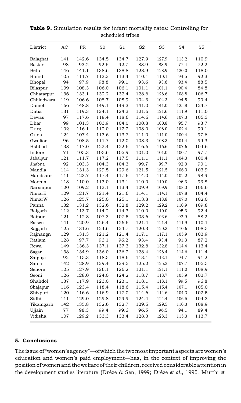| District   | AC  | PR    | S <sub>0</sub> | S <sub>1</sub> | S <sub>2</sub> | S <sub>3</sub> | S <sub>4</sub> | S <sub>5</sub> |
|------------|-----|-------|----------------|----------------|----------------|----------------|----------------|----------------|
| Balaghat   | 141 | 142.6 | 134.5          | 134.7          | 127.9          | 127.9          | 113.2          | 110.9          |
| Bastar     | 98  | 93.2  | 92.6           | 92.7           | 88.9           | 88.9           | 77.4           | 72.2           |
| Betul      | 146 | 141.1 | 138.6          | 138.8          | 128.9          | 128.9          | 120.0          | 118.0          |
| Bhind      | 105 | 111.7 | 113.2          | 113.4          | 110.1          | 110.1          | 94.5           | 92.3           |
| Bhopal     | 94  | 97.9  | 98.8           | 99.1           | 93.6           | 93.6           | 93.4           | 88.5           |
| Bilaspur   | 109 | 108.3 | 106.0          | 106.1          | 101.1          | 101.1          | 90.4           | 84.8           |
| Chhatarpur | 136 | 133.1 | 132.2          | 132.4          | 128.6          | 128.6          | 108.8          | 106.7          |
| Chhindwara | 119 | 106.6 | 108.7          | 108.9          | 104.3          | 104.3          | 94.5           | 90.4           |
| Damoh      | 166 | 148.8 | 149.1          | 149.3          | 141.0          | 141.0          | 125.8          | 124.7          |
| Datia      | 131 | 119.3 | 124.1          | 124.3          | 121.6          | 121.6          | 111.9          | 111.0          |
| Dewas      | 97  | 117.6 | 118.4          | 118.6          | 114.6          | 114.6          | 107.3          | 105.3          |
| Dhar       | 99  | 101.3 | 103.9          | 104.0          | 100.8          | 100.8          | 95.7           | 93.7           |
| Durg       | 102 | 116.1 | 112.0          | 112.2          | 108.0          | 108.0          | 102.4          | 99.1           |
| Guna       | 124 | 107.4 | 113.6          | 113.7          | 111.0          | 111.0          | 100.4          | 97.6           |
| Gwalior    | 96  | 108.5 | 111.7          | 112.0          | 108.3          | 108.3          | 101.4          | 99.3           |
| Hshbad     | 138 | 117.0 | 122.4          | 122.6          | 116.6          | 116.6          | 107.6          | 104.6          |
| Indore     | 71  | 105.3 | 105.6          | 105.9          | 101.0          | 101.0          | 100.7          | 97.7           |
| Jabalpur   | 121 | 111.7 | 117.2          | 117.5          | 111.1          | 111.1          | 104.3          | 100.4          |
| Jhabua     | 92  | 103.3 | 104.3          | 104.3          | 99.7           | 99.7           | 92.0           | 90.1           |
| Mandla     | 114 | 131.3 | 129.5          | 129.6          | 121.5          | 121.5          | 106.3          | 103.9          |
| Mandsaur   | 111 | 123.7 | 117.4          | 117.6          | 114.0          | 114.0          | 102.2          | 98.9           |
| Morena     | 118 | 110.0 | 113.0          | 113.1          | 110.0          | 110.0          | 96.3           | 93.8           |
| Narsmpur   | 120 | 109.2 | 113.1          | 113.4          | 109.9          | 109.9          | 108.3          | 106.6          |
| NimarE     | 129 | 121.7 | 121.4          | 121.6          | 114.1          | 114.1          | 107.8          | 104.4          |
| NimarW     | 126 | 125.7 | 125.0          | 125.1          | 113.8          | 113.8          | 107.0          | 102.0          |
| Panna      | 132 | 131.2 | 132.6          | 132.8          | 129.2          | 129.2          | 110.9          | 109.8          |
| Raigarh    | 112 | 113.7 | 114.2          | 114.3          | 110.0          | 110.0          | 95.3           | 92.4           |
| Raipur     | 121 | 112.8 | 107.3          | 107.5          | 103.6          | 103.6          | 92.9           | 88.2           |
| Raisen     | 141 | 120.9 | 126.4          | 126.6          | 121.4          | 121.4          | 111.9          | 110.1          |
| Rajgarh    | 125 | 131.6 | 124.6          | 124.7          | 120.3          | 120.3          | 110.6          | 108.5          |
| Rajnangn   | 129 | 131.3 | 121.2          | 121.4          | 117.1          | 117.1          | 105.9          | 103.9          |
| Ratlam     | 128 | 97.7  | 96.1           | 96.2           | 93.4           | 93.4           | 91.3           | 87.2           |
| Rewa       | 149 | 136.3 | 137.1          | 137.3          | 132.8          | 132.8          | 114.4          | 113.4          |
| Sagar      | 138 | 134.9 | 136.0          | 136.2          | 128.4          | 128.4          | 114.6          | 111.4          |
| Sarguja    | 92  | 115.3 | 118.5          | 118.6          | 113.1          | 113.1          | 94.7           | 91.2           |
| Satna      | 142 | 128.9 | 129.4          | 129.5          | 125.2          | 125.2          | 107.7          | 105.5          |
| Sehore     | 125 | 127.9 | 126.1          | 126.2          | 121.1          | 121.1          | 111.0          | 108.9          |
| Seoni      | 126 | 128.0 | 124.0          | 124.2          | 118.7          | 118.7          | 105.9          | 103.7          |
| Shahdol    | 137 | 117.9 | 123.0          | 123.1          | 118.1          | 118.1          | 99.5           | 96.8           |
| Shajapur   | 116 | 123.4 | 118.4          | 118.6          | 115.4          | 115.4          | 107.1          | 105.0          |
| Shivpuri   | 120 | 116.6 | 116.9          | 117.0          | 114.6          | 114.6          | 104.3          | 102.5          |
| Sidhi      | 111 | 129.0 | 129.8          | 129.9          | 124.4          | 124.4          | 106.5          | 104.3          |
| Tikamgarh  | 142 | 135.8 | 132.6          | 132.7          | 129.5          | 129.5          | 110.3          | 108.9          |
| Ujjain     | 77  | 98.3  | 99.4           | 99.6           | 96.5           | 96.5           | 94.1           | 89.4           |
| Vidisha    | 107 | 129.2 | 133.3          | 133.4          | 128.3          | 128.3          | 115.3          | 113.7          |

**Table 9.** Simulation results for infant mortality rates: Controlling for scheduled tribes

### **5. Conclusions**

The issue of "women'sagency"—of which the two most important aspects are women's education and women's paid employment—has, in the context of improving the position of women and the welfare of their children, received considerable attention in the development studies literature (Dre`ze & Sen, 1999; Dre`ze *et al.*, 1995; Murthi *et*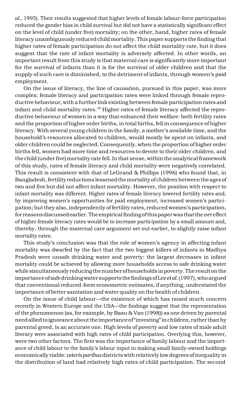*al.*, 1995). Their results suggested that higher levels of female labour-force participation reduced the gender bias in child survival but did not have a statistically significant effect on the level of child (under five) mortality; on the other, hand, higher rates of female literacy unambiguously reduced child mortality. This paper supports the finding that higher rates of female participation do not affect the child mortality rate, but it does suggest that the rate of infant mortality is adversely affected. In other words, an important result from this study is that maternal care is significantly more important for the survival of infants than it is for the survival of older children and that the supply of such care is diminished, to the detriment of infants, through women's paid employment.

On the issue of literacy, the line of causation, pursued in this paper, was more complex: female literacy and participation rates were linked through female reproductive behaviour, with a further link existing between female participation rates and infant and child mortality rates.<sup>16</sup> Higher rates of female literacy affected the reproductive behaviour of women in a way that enhanced their welfare: both fertility rates and the proportion of higher order births, in total births, fell in consequence of higher literacy. With several young children in the family, a mother's available time, and the household's resources allocated to children, would mostly be spent on infants, and older children could be neglected. Consequently, when the proportion of higher order births fell, women had more time and resources to devote to their older children, and the child (under five) mortality rate fell. In that sense, within the analytical framework of this study, rates of female literacy and child mortality were negatively correlated. This result is consistent with that of LeGrand & Phillips (1996) who found that, in Bangladesh, fertility reductions lessened the mortality of children between the ages of two and five but did not affect infant mortality. However, the position with respect to infant mortality was different. Higher rates of female literacy lowered fertility rates and, by improving women's opportunities for paid employment, increased women's participation; but they also, independently of fertility rates, reduced women's participation, for reasons discussed earlier. The empirical finding of this paper was that the net effect of higher female literacy rates would be to increase participation by a small amount and, thereby, through the maternal care argument set out earlier, to slightly raise infant mortality rates.

This study's conclusion was that the role of women's agency in affecting infant mortality was dwarfed by the fact that the two biggest killers of infants in Madhya Pradesh were unsafe drinking water and poverty: the largest decreases in infant mortality could be achieved by allowing more households access to safe drinking water while simultaneously reducing the number of households in poverty. The result on the importance of safe drinking water supports the findings of Lee *et al.* (1997), who argued that conventional reduced-form econometric estimates, if anything, understated the importance of better sanitation and water quality on the health of children.

On the issue of child labour—the existence of which has raised much concern recently in Western Europe and the USA—the findings suggest that the representation of the phenomenon (as, for example, by Basu & Van (1998)) as one driven by parental need allied to ignorance about the importance of "investing" in children, rather than by parental greed, is an accurate one. High levels of poverty and low rates of male adult literacy were associated with high rates of child participation. Overlying this, however, were two other factors. The first was the importance of family labour and the importance of child labour to the family's labour input in making small family-owned holdings economically viable: *ceteris paribus* districts with relatively low degrees of inequality in the distribution of land had relatively high rates of child participation. The second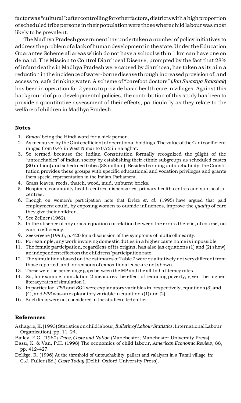factor was "cultural": after controlling for other factors, districts with a high proportion of scheduled tribe persons in their population were those where child labour was most likely to be prevalent.

The Madhya Pradesh government has undertaken a number of policy initiatives to address the problem of a lack of human development in the state. Under the Education Guarantee Scheme all areas which do not have a school within 1 km can have one on demand. The Mission to Control Diarrhoeal Disease, prompted by the fact that 28% of infant deaths in Madhya Pradesh were caused by diarrhoea, has taken as its aim a reduction in the incidence of water-borne disease through increased provision of, and access to, safe drinking water. A scheme of "barefoot doctors" (*Jon Swastya Rakshak*) has been in operation for 2 years to provide basic health care in villages. Against this background of pro-developmental policies, the contribution of this study has been to provide a quantitative assessment of their effects, particularly as they relate to the welfare of children in Madhya Pradesh.

#### **Notes**

- 1. *Bimari* being the Hindi word for a sick person.
- 2. As measured by the Gini coefficient of operational holdings. The value of the Gini coefficient ranged from 0.47 in West Nimar to 0.72 in Balaghat.
- 3. So termed because the Indian Constitution formally recognized the plight of the "untouchables" of Indian society by establishing their ethnic subgroups as scheduled castes (80 million) and scheduled tribes (38 million). Besides banning untouchability, the Constitution provides these groups with specific educational and vocation privileges and grants them special representation in the Indian Parliament.
- 4. Grass leaves, reeds, thatch, wood, mud, unburnt bricks.
- 5. Hospitals, community health centres, dispensaries, primary health centres and sub-health centres.
- 6. Though on women's participation note that Dre`ze *et. al.* (1995) have argued that paid employment could, by exposing women to outside influences, improve the *quality* of care they give their children.
- 7. See Zellner (1962).
- 8. In the absence of any cross-equation correlation between the errors there is, of course, no gain in efficiency.
- 9. See Greene (1993), p. 420 for a discussion of the symptoms of multicollinearity.
- 10. For example, any work involving domestic duties in a higher caste home is impossible.
- 11. The female participation, regardless of its origins, has also (as equations (1) and (2) show) an independent effect on the childrens' participation rate.
- 12. The simulations based on the estimates of Table 2 were qualitatively not very different from those reported, and for reasons of expositional ease are not shown.
- 13. These were the percentage gaps between the MP and the all-India literacy rates.
- 14. So, for example, simulation 2 measures the effect of reducing poverty, given the higher literacy rates of simulation 1.
- 15. In particular, *TFR* and *BO*4 were explanatory variables in, respectively, equations (3) and (4), and *FPR* was an explanatory variable in equations (1) and (2).
- 16. Such links were not considered in the studies cited earlier.

### **References**

- Ashagrie, K. (1993) Statistics on child labour, *Bulletin of Labour Statistics*, International Labour Organization), pp. 11–24.
- Bailey, F.G. (1960) *Tribe, Caste and Nation* (Manchester; Manchester University Press).
- Basu, K. & Van, P.H. (1998) The economics of child labour, *American Economic Review*, 88, pp. 412–427.
- Deliège, R. (1996) At the threshold of untouchability: pallars and valaiyars in a Tamil village, in: C.J. Fuller (Ed.) *Caste Today* (Delhi; Oxford University Press).